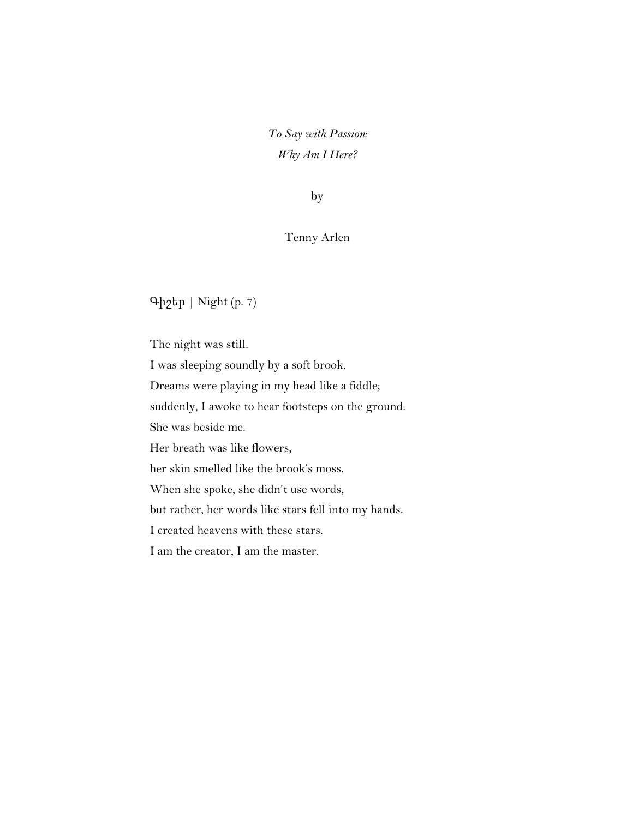*To Say with Passion: Why Am I Here?*

by

## Tenny Arlen

Գիշեր | Night (p. 7)

The night was still. I was sleeping soundly by a soft brook. Dreams were playing in my head like a fiddle; suddenly, I awoke to hear footsteps on the ground. She was beside me. Her breath was like flowers, her skin smelled like the brook's moss. When she spoke, she didn't use words, but rather, her words like stars fell into my hands. I created heavens with these stars. I am the creator, I am the master.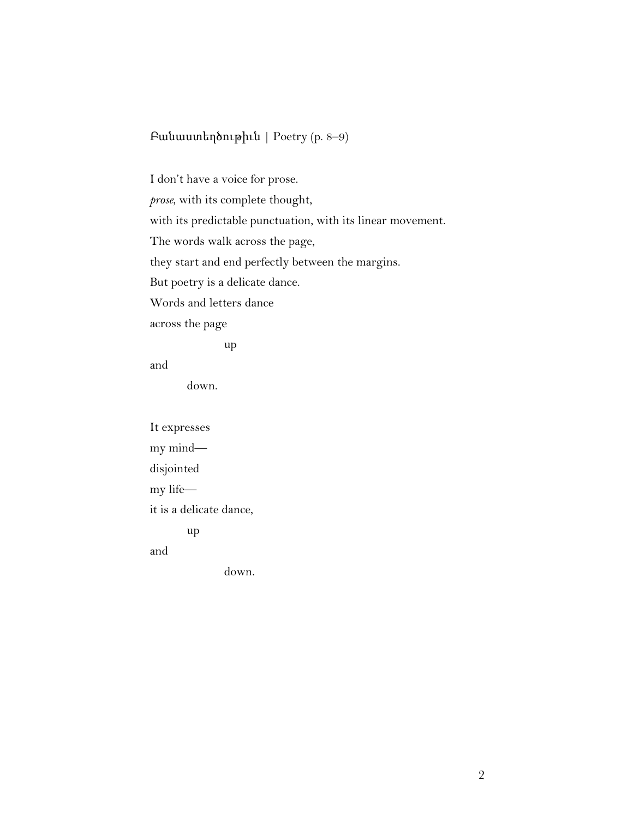# Բանաստեղծութիւն | Poetry (p. 8–9)

I don't have a voice for prose.

*prose*, with its complete thought,

with its predictable punctuation, with its linear movement.

The words walk across the page,

they start and end perfectly between the margins.

But poetry is a delicate dance.

Words and letters dance

across the page

up

and

down.

It expresses my mind disjointed my life it is a delicate dance, up and

down.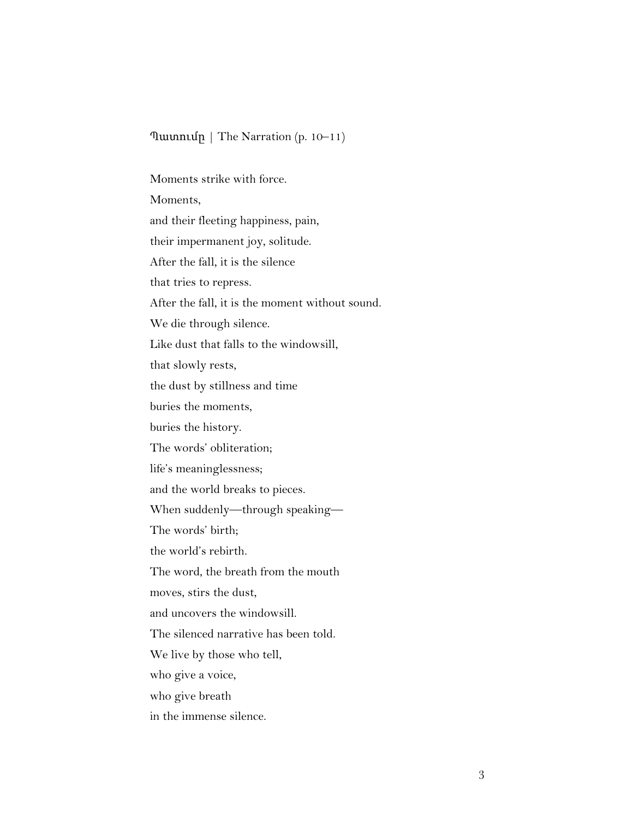#### Պատումը | The Narration (p. 10–11)

Moments strike with force. Moments, and their fleeting happiness, pain, their impermanent joy, solitude. After the fall, it is the silence that tries to repress. After the fall, it is the moment without sound. We die through silence. Like dust that falls to the windowsill, that slowly rests, the dust by stillness and time buries the moments, buries the history. The words' obliteration; life's meaninglessness; and the world breaks to pieces. When suddenly—through speaking— The words' birth; the world's rebirth. The word, the breath from the mouth moves, stirs the dust, and uncovers the windowsill. The silenced narrative has been told. We live by those who tell, who give a voice, who give breath in the immense silence.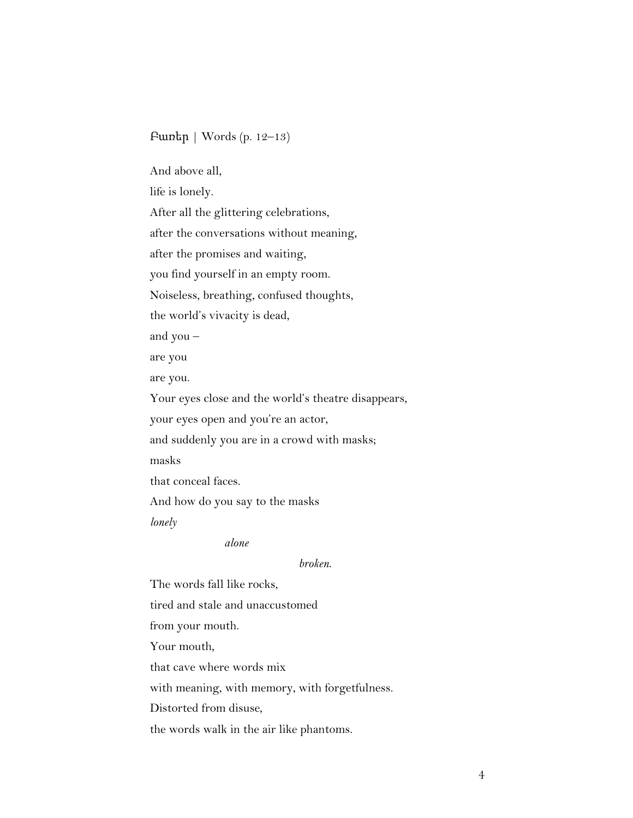#### Բառեր | Words (p. 12–13)

And above all,

life is lonely.

After all the glittering celebrations,

after the conversations without meaning,

after the promises and waiting,

you find yourself in an empty room.

Noiseless, breathing, confused thoughts,

the world's vivacity is dead,

and you –

are you

are you.

Your eyes close and the world's theatre disappears,

your eyes open and you're an actor,

and suddenly you are in a crowd with masks;

masks

that conceal faces.

And how do you say to the masks

*lonely*

*alone*

*broken*.

The words fall like rocks,

tired and stale and unaccustomed

from your mouth.

Your mouth,

that cave where words mix

with meaning, with memory, with forgetfulness.

Distorted from disuse,

the words walk in the air like phantoms.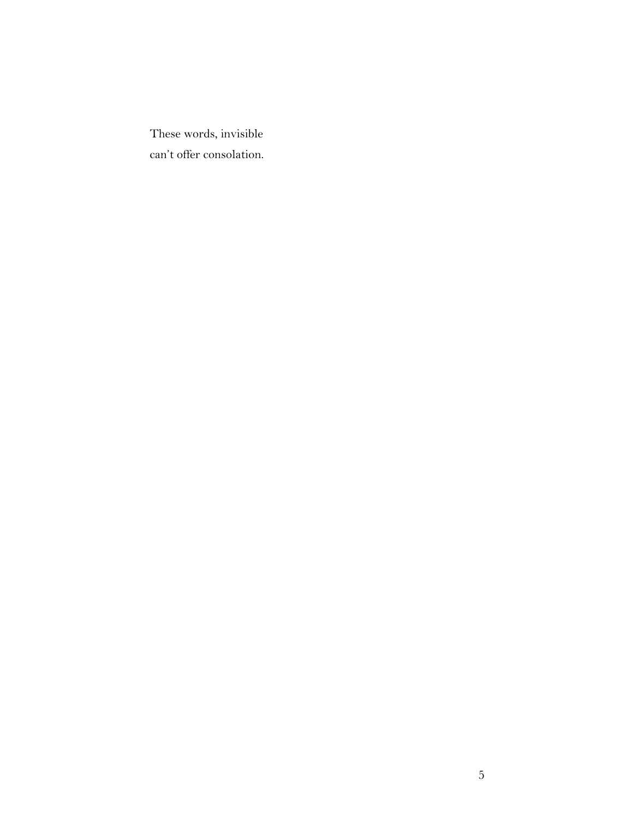These words, invisible can't offer consolation.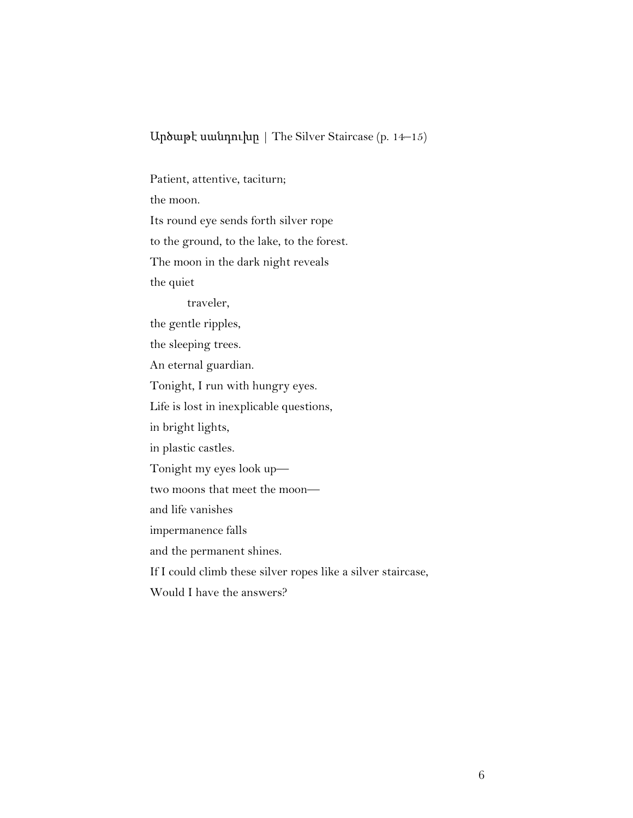## Արծաթէ սանդուխը | The Silver Staircase (p. 14–15)

Patient, attentive, taciturn; the moon. Its round eye sends forth silver rope to the ground, to the lake, to the forest. The moon in the dark night reveals the quiet traveler, the gentle ripples, the sleeping trees. An eternal guardian. Tonight, I run with hungry eyes. Life is lost in inexplicable questions, in bright lights, in plastic castles. Tonight my eyes look up two moons that meet the moon and life vanishes impermanence falls and the permanent shines. If I could climb these silver ropes like a silver staircase, Would I have the answers?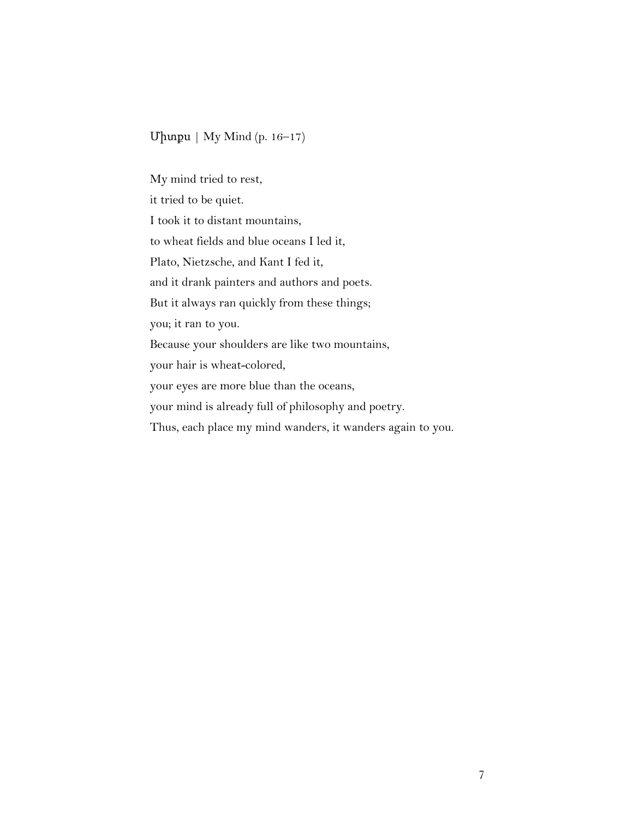## Միտքս | My Mind (p. 16–17)

My mind tried to rest, it tried to be quiet. I took it to distant mountains, to wheat fields and blue oceans I led it, Plato, Nietzsche, and Kant I fed it, and it drank painters and authors and poets. But it always ran quickly from these things; you; it ran to you. Because your shoulders are like two mountains, your hair is wheat-colored, your eyes are more blue than the oceans, your mind is already full of philosophy and poetry. Thus, each place my mind wanders, it wanders again to you.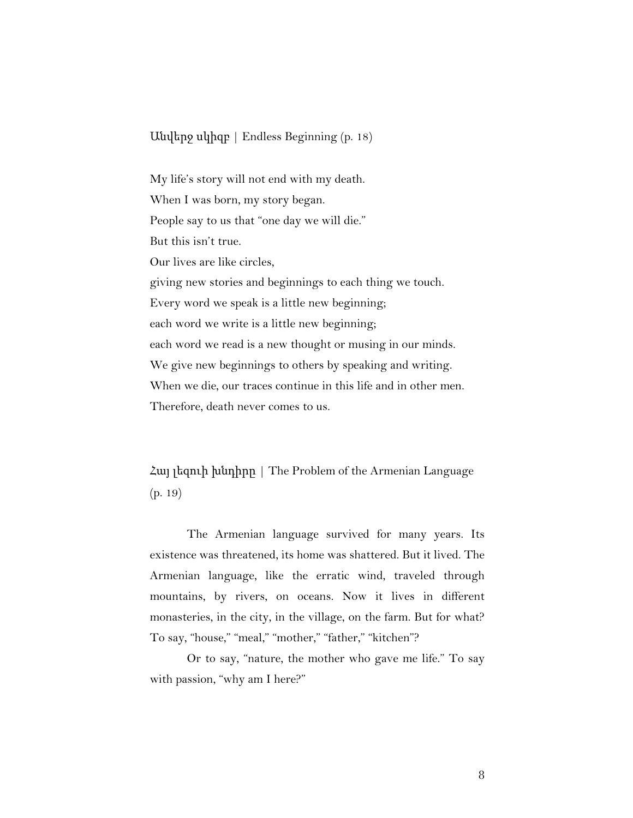Անվերջ սկիզբ | Endless Beginning (p. 18)

My life's story will not end with my death. When I was born, my story began. People say to us that "one day we will die." But this isn't true. Our lives are like circles, giving new stories and beginnings to each thing we touch. Every word we speak is a little new beginning; each word we write is a little new beginning; each word we read is a new thought or musing in our minds. We give new beginnings to others by speaking and writing. When we die, our traces continue in this life and in other men. Therefore, death never comes to us.

Հայ լեզուի խնդիրը | The Problem of the Armenian Language (p. 19)

The Armenian language survived for many years. Its existence was threatened, its home was shattered. But it lived. The Armenian language, like the erratic wind, traveled through mountains, by rivers, on oceans. Now it lives in different monasteries, in the city, in the village, on the farm. But for what? To say, "house," "meal," "mother," "father," "kitchen"?

Or to say, "nature, the mother who gave me life." To say with passion, "why am I here?"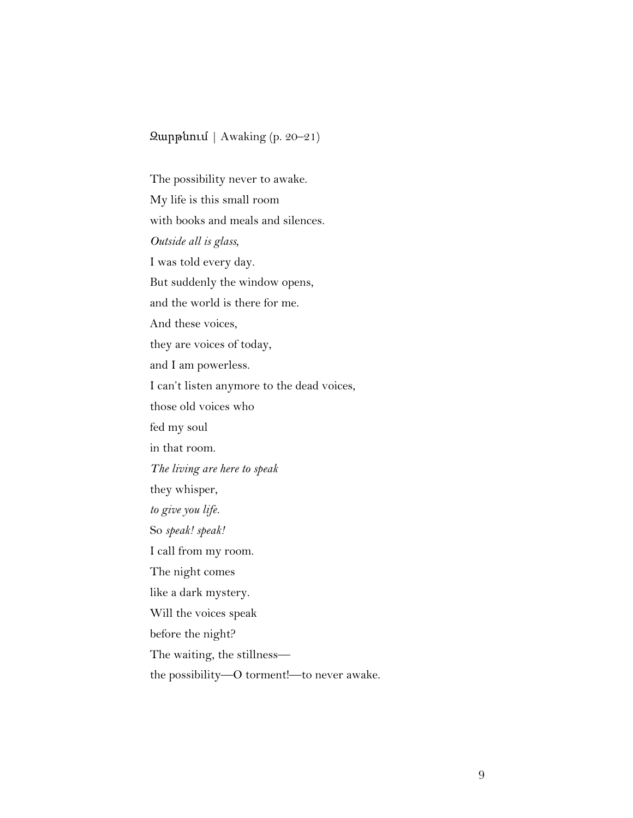## Զարթնում | Awaking (p. 20–21)

The possibility never to awake. My life is this small room with books and meals and silences. *Outside all is glass,* I was told every day. But suddenly the window opens, and the world is there for me. And these voices, they are voices of today, and I am powerless. I can't listen anymore to the dead voices, those old voices who fed my soul in that room. *The living are here to speak* they whisper, *to give you life.* So *speak! speak!* I call from my room. The night comes like a dark mystery. Will the voices speak before the night? The waiting, the stillness the possibility—O torment!—to never awake.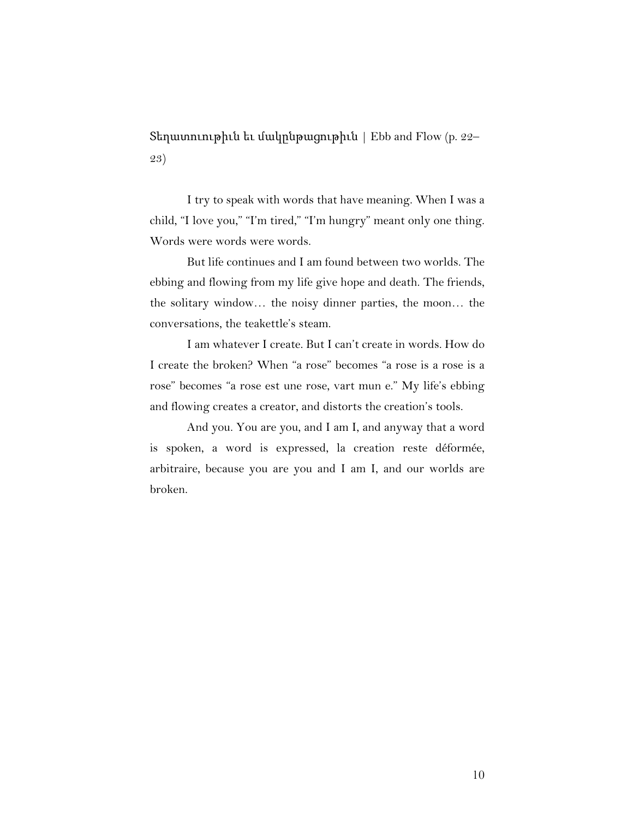Տեղատուութիւն եւ մակընթացութիւն | Ebb and Flow (p. 22– 23)

I try to speak with words that have meaning. When I was a child, "I love you," "I'm tired," "I'm hungry" meant only one thing. Words were words were words.

But life continues and I am found between two worlds. The ebbing and flowing from my life give hope and death. The friends, the solitary window… the noisy dinner parties, the moon… the conversations, the teakettle's steam.

I am whatever I create. But I can't create in words. How do I create the broken? When "a rose" becomes "a rose is a rose is a rose" becomes "a rose est une rose, vart mun e." My life's ebbing and flowing creates a creator, and distorts the creation's tools.

And you. You are you, and I am I, and anyway that a word is spoken, a word is expressed, la creation reste déformée, arbitraire, because you are you and I am I, and our worlds are broken.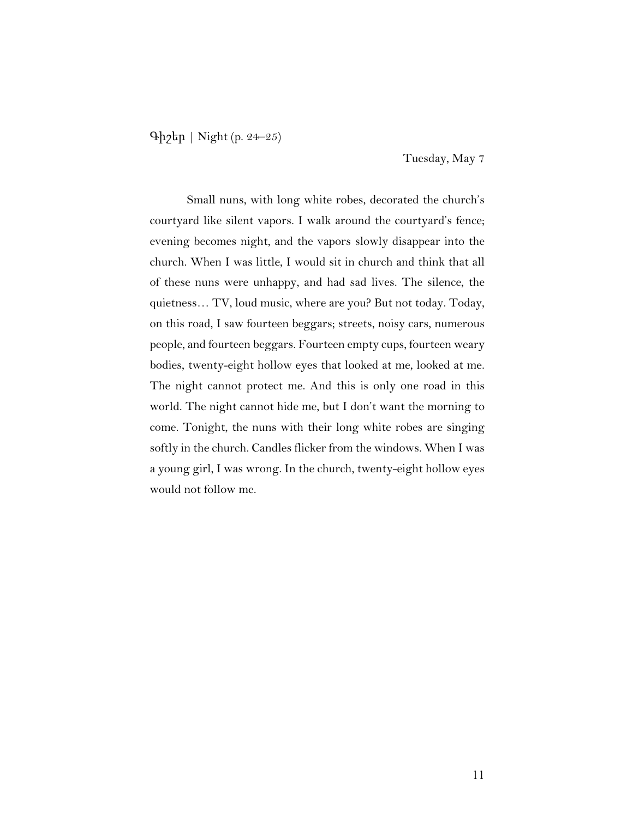Գիշեր | Night (p. 24–25)

Tuesday, May 7

Small nuns, with long white robes, decorated the church's courtyard like silent vapors. I walk around the courtyard's fence; evening becomes night, and the vapors slowly disappear into the church. When I was little, I would sit in church and think that all of these nuns were unhappy, and had sad lives. The silence, the quietness… TV, loud music, where are you? But not today. Today, on this road, I saw fourteen beggars; streets, noisy cars, numerous people, and fourteen beggars. Fourteen empty cups, fourteen weary bodies, twenty-eight hollow eyes that looked at me, looked at me. The night cannot protect me. And this is only one road in this world. The night cannot hide me, but I don't want the morning to come. Tonight, the nuns with their long white robes are singing softly in the church. Candles flicker from the windows. When I was a young girl, I was wrong. In the church, twenty-eight hollow eyes would not follow me.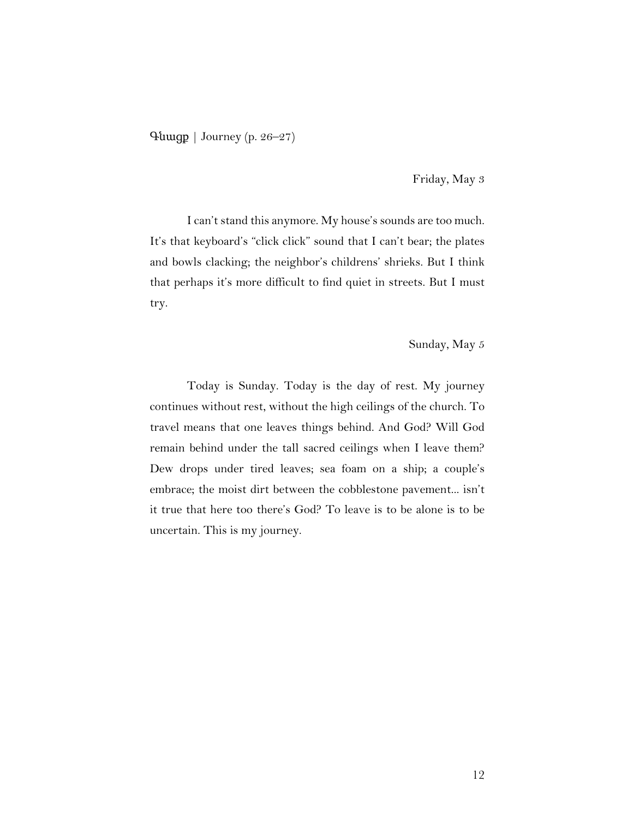Գնացք | Journey (p. 26–27)

Friday, May 3

I can't stand this anymore. My house's sounds are too much. It's that keyboard's "click click" sound that I can't bear; the plates and bowls clacking; the neighbor's childrens' shrieks. But I think that perhaps it's more difficult to find quiet in streets. But I must try.

Sunday, May 5

Today is Sunday. Today is the day of rest. My journey continues without rest, without the high ceilings of the church. To travel means that one leaves things behind. And God? Will God remain behind under the tall sacred ceilings when I leave them? Dew drops under tired leaves; sea foam on a ship; a couple's embrace; the moist dirt between the cobblestone pavement... isn't it true that here too there's God? To leave is to be alone is to be uncertain. This is my journey.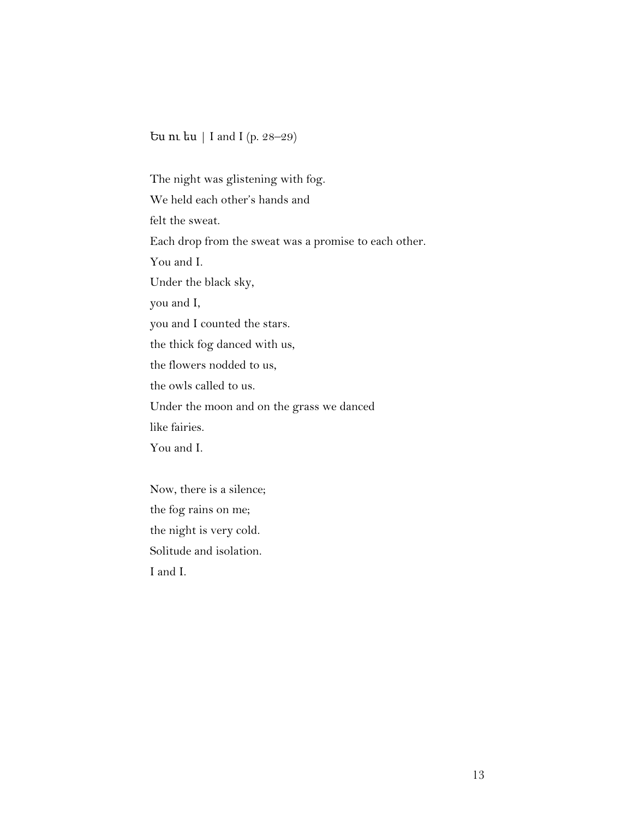Ես ու ես | I and I (p. 28–29)

The night was glistening with fog. We held each other's hands and felt the sweat. Each drop from the sweat was a promise to each other. You and I. Under the black sky, you and I, you and I counted the stars. the thick fog danced with us, the flowers nodded to us, the owls called to us. Under the moon and on the grass we danced like fairies. You and I.

Now, there is a silence; the fog rains on me; the night is very cold. Solitude and isolation. I and I.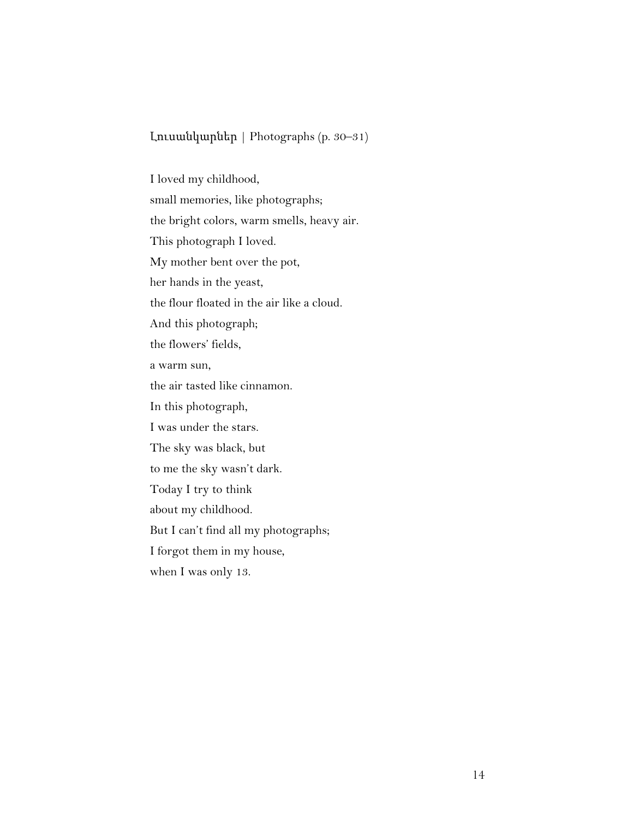Լուսանկարներ | Photographs (p. 30–31)

I loved my childhood, small memories, like photographs; the bright colors, warm smells, heavy air. This photograph I loved. My mother bent over the pot, her hands in the yeast, the flour floated in the air like a cloud. And this photograph; the flowers' fields, a warm sun, the air tasted like cinnamon. In this photograph, I was under the stars. The sky was black, but to me the sky wasn't dark. Today I try to think about my childhood. But I can't find all my photographs; I forgot them in my house, when I was only 13.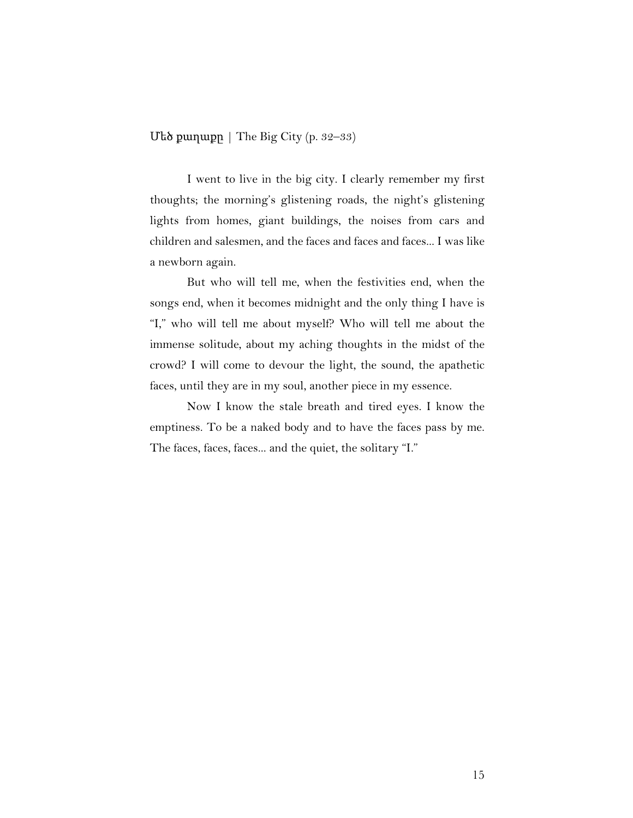Uեծ քաղաքը | The Big City (p.  $32-33$ )

I went to live in the big city. I clearly remember my first thoughts; the morning's glistening roads, the night's glistening lights from homes, giant buildings, the noises from cars and children and salesmen, and the faces and faces and faces... I was like a newborn again.

But who will tell me, when the festivities end, when the songs end, when it becomes midnight and the only thing I have is "I," who will tell me about myself? Who will tell me about the immense solitude, about my aching thoughts in the midst of the crowd? I will come to devour the light, the sound, the apathetic faces, until they are in my soul, another piece in my essence.

Now I know the stale breath and tired eyes. I know the emptiness. To be a naked body and to have the faces pass by me. The faces, faces, faces... and the quiet, the solitary "I."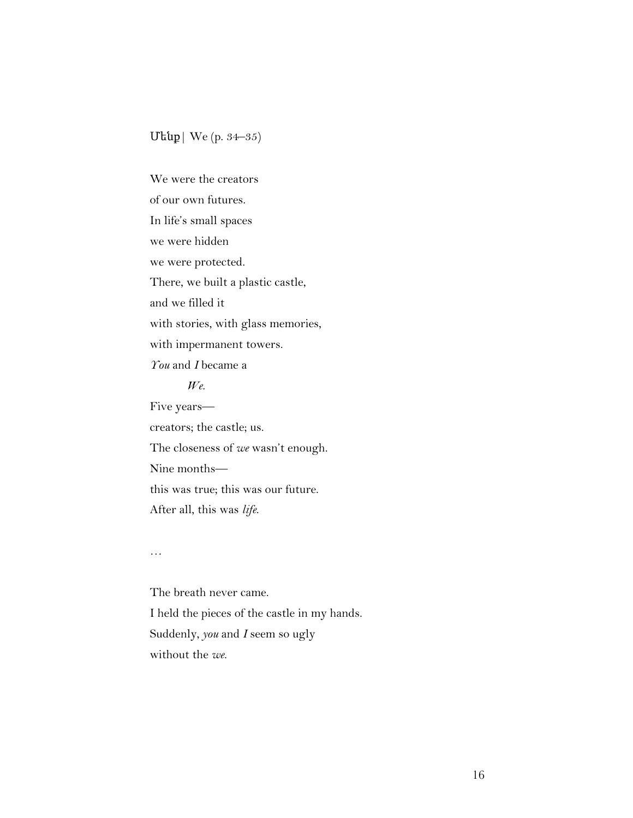## Մենք| We (p. 34–35)

We were the creators of our own futures. In life's small spaces we were hidden we were protected. There, we built a plastic castle, and we filled it with stories, with glass memories, with impermanent towers. *You* and *I* became a *We*. Five years creators; the castle; us. The closeness of *we* wasn't enough. Nine months this was true; this was our future. After all, this was *life*.

…

The breath never came. I held the pieces of the castle in my hands. Suddenly, *you* and *I* seem so ugly without the *we*.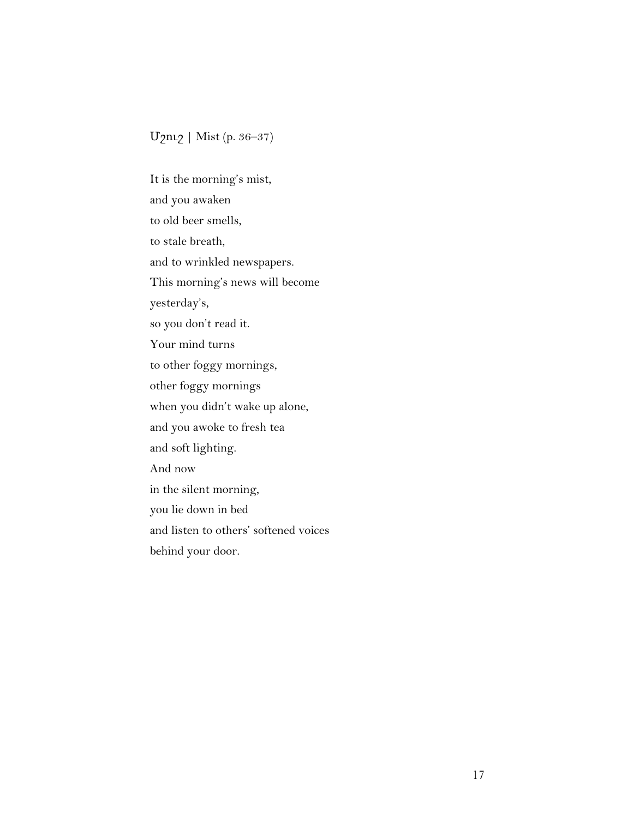# Մշուշ | Mist (p. 36–37)

It is the morning's mist, and you awaken to old beer smells, to stale breath, and to wrinkled newspapers. This morning's news will become yesterday's, so you don't read it. Your mind turns to other foggy mornings, other foggy mornings when you didn't wake up alone, and you awoke to fresh tea and soft lighting. And now in the silent morning, you lie down in bed and listen to others' softened voices behind your door.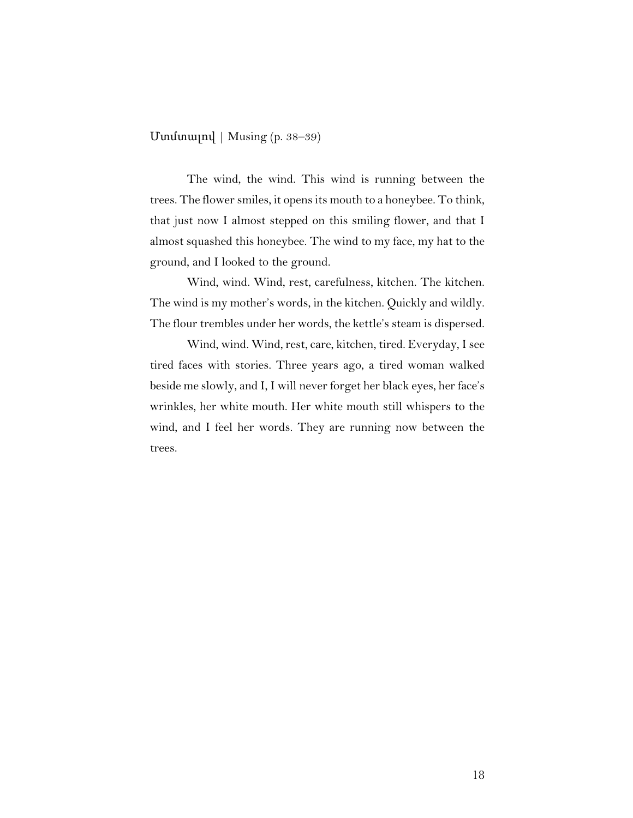Մտմտալով | Musing (p. 38–39)

The wind, the wind. This wind is running between the trees. The flower smiles, it opens its mouth to a honeybee. To think, that just now I almost stepped on this smiling flower, and that I almost squashed this honeybee. The wind to my face, my hat to the ground, and I looked to the ground.

Wind, wind. Wind, rest, carefulness, kitchen. The kitchen. The wind is my mother's words, in the kitchen. Quickly and wildly. The flour trembles under her words, the kettle's steam is dispersed.

Wind, wind. Wind, rest, care, kitchen, tired. Everyday, I see tired faces with stories. Three years ago, a tired woman walked beside me slowly, and I, I will never forget her black eyes, her face's wrinkles, her white mouth. Her white mouth still whispers to the wind, and I feel her words. They are running now between the trees.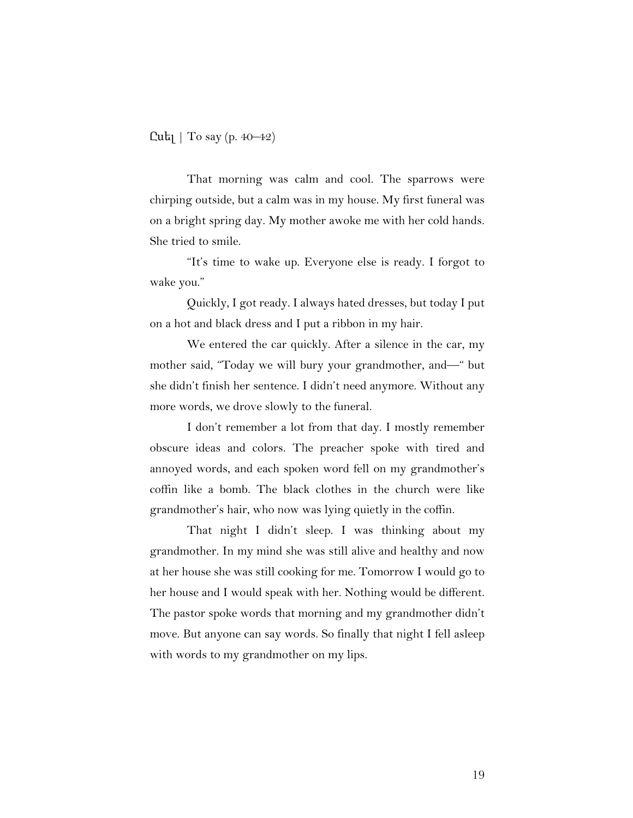$Cuh$ ] | To say (p. 40–42)

That morning was calm and cool. The sparrows were chirping outside, but a calm was in my house. My first funeral was on a bright spring day. My mother awoke me with her cold hands. She tried to smile.

"It's time to wake up. Everyone else is ready. I forgot to wake you."

Quickly, I got ready. I always hated dresses, but today I put on a hot and black dress and I put a ribbon in my hair.

We entered the car quickly. After a silence in the car, my mother said, "Today we will bury your grandmother, and—" but she didn't finish her sentence. I didn't need anymore. Without any more words, we drove slowly to the funeral.

I don't remember a lot from that day. I mostly remember obscure ideas and colors. The preacher spoke with tired and annoyed words, and each spoken word fell on my grandmother's coffin like a bomb. The black clothes in the church were like grandmother's hair, who now was lying quietly in the coffin.

That night I didn't sleep. I was thinking about my grandmother. In my mind she was still alive and healthy and now at her house she was still cooking for me. Tomorrow I would go to her house and I would speak with her. Nothing would be different. The pastor spoke words that morning and my grandmother didn't move. But anyone can say words. So finally that night I fell asleep with words to my grandmother on my lips.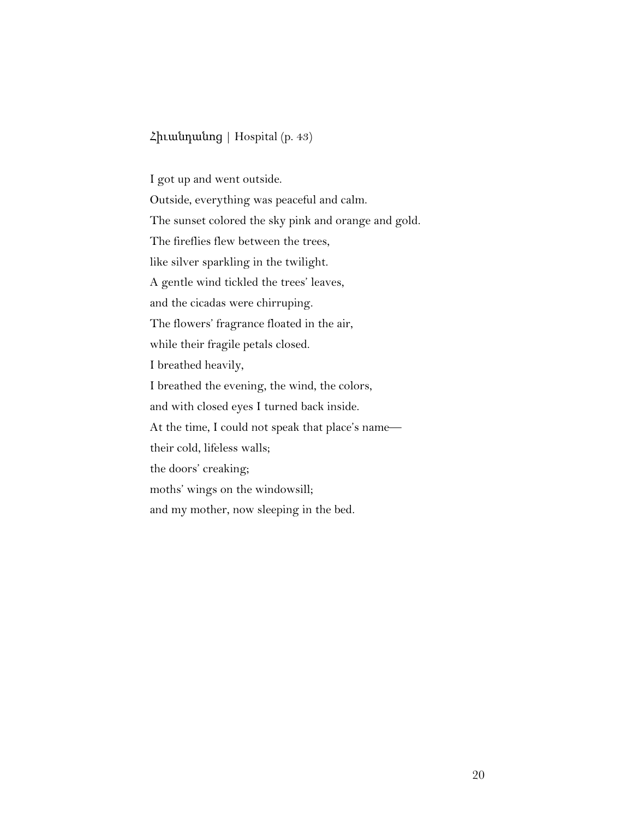## Հիւանդանոց | Hospital (p. 43)

I got up and went outside. Outside, everything was peaceful and calm. The sunset colored the sky pink and orange and gold. The fireflies flew between the trees, like silver sparkling in the twilight. A gentle wind tickled the trees' leaves, and the cicadas were chirruping. The flowers' fragrance floated in the air, while their fragile petals closed. I breathed heavily, I breathed the evening, the wind, the colors, and with closed eyes I turned back inside. At the time, I could not speak that place's name their cold, lifeless walls; the doors' creaking; moths' wings on the windowsill; and my mother, now sleeping in the bed.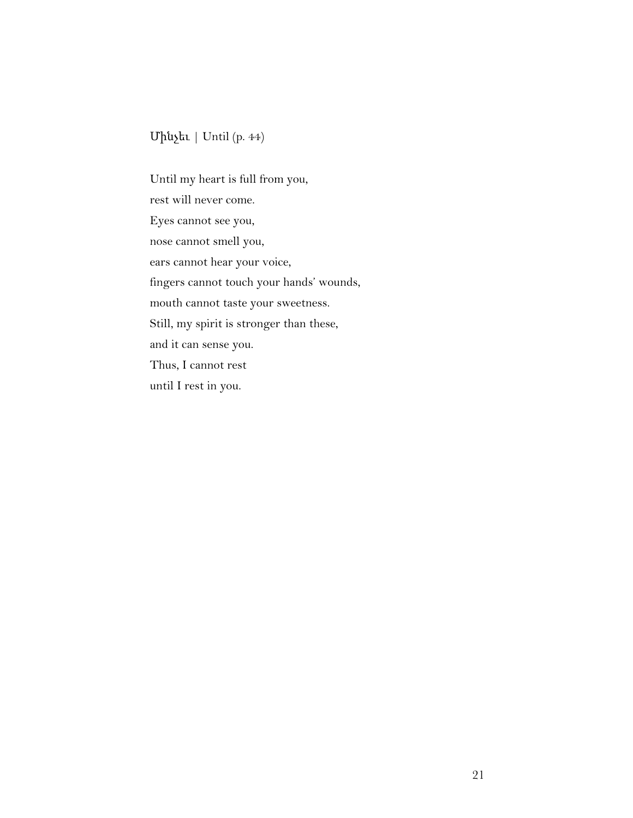# Մինչեւ | Until (p. 44)

Until my heart is full from you, rest will never come. Eyes cannot see you, nose cannot smell you, ears cannot hear your voice, fingers cannot touch your hands' wounds, mouth cannot taste your sweetness. Still, my spirit is stronger than these, and it can sense you. Thus, I cannot rest until I rest in you.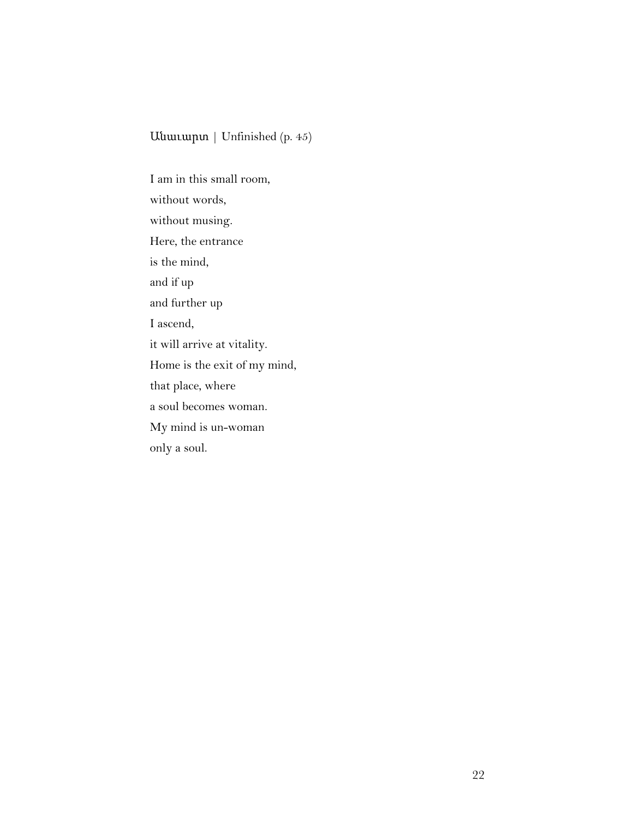# Անաւարտ | Unfinished (p. 45)

I am in this small room, without words, without musing. Here, the entrance is the mind, and if up and further up I ascend, it will arrive at vitality. Home is the exit of my mind, that place, where a soul becomes woman. My mind is un-woman only a soul.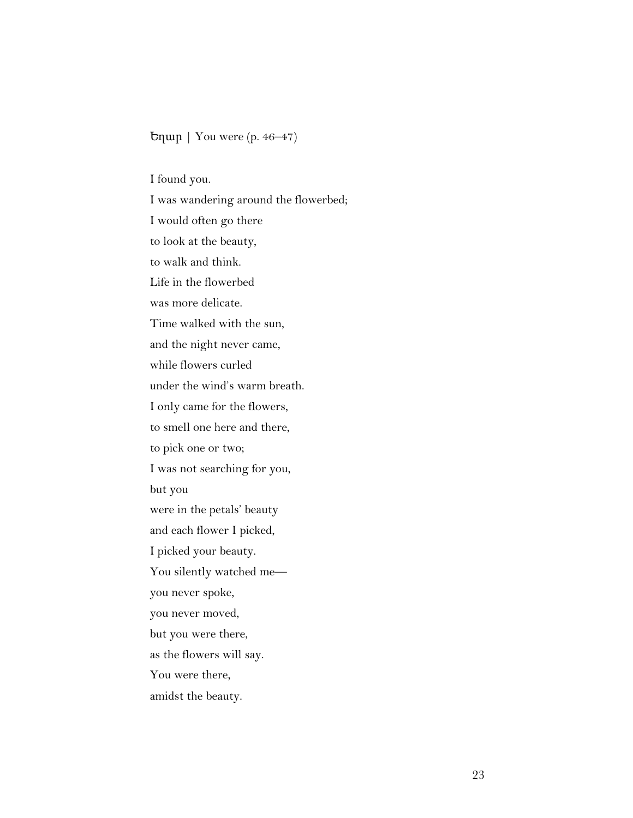## Եղար | You were (p. 46–47)

I found you.

I was wandering around the flowerbed; I would often go there to look at the beauty, to walk and think. Life in the flowerbed was more delicate. Time walked with the sun, and the night never came, while flowers curled under the wind's warm breath. I only came for the flowers, to smell one here and there, to pick one or two; I was not searching for you, but you were in the petals' beauty and each flower I picked, I picked your beauty. You silently watched me you never spoke, you never moved, but you were there, as the flowers will say. You were there, amidst the beauty.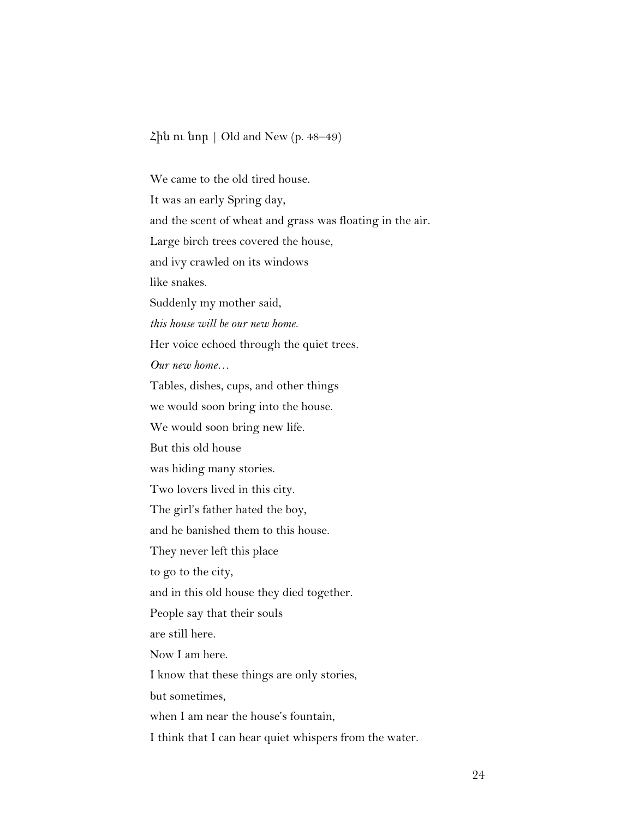### Հին ու նոր | Old and New (p. 48–49)

We came to the old tired house. It was an early Spring day, and the scent of wheat and grass was floating in the air. Large birch trees covered the house, and ivy crawled on its windows like snakes. Suddenly my mother said, *this house will be our new home.* Her voice echoed through the quiet trees. *Our new home…* Tables, dishes, cups, and other things we would soon bring into the house. We would soon bring new life. But this old house was hiding many stories. Two lovers lived in this city. The girl's father hated the boy, and he banished them to this house. They never left this place to go to the city, and in this old house they died together. People say that their souls are still here. Now I am here. I know that these things are only stories, but sometimes, when I am near the house's fountain, I think that I can hear quiet whispers from the water.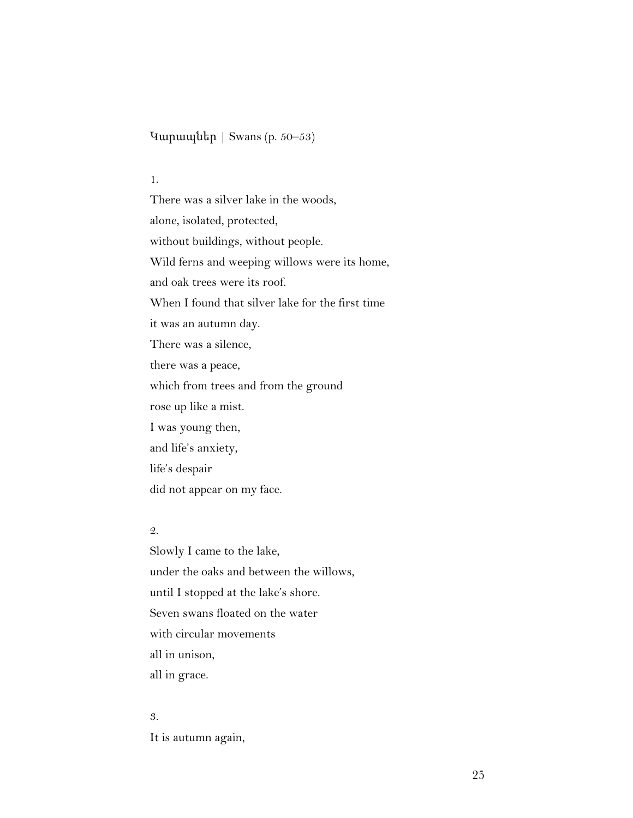Կարապներ | Swans (p. 50–53)

#### 1.

There was a silver lake in the woods, alone, isolated, protected, without buildings, without people. Wild ferns and weeping willows were its home, and oak trees were its roof. When I found that silver lake for the first time it was an autumn day. There was a silence, there was a peace, which from trees and from the ground rose up like a mist. I was young then, and life's anxiety, life's despair did not appear on my face.

#### 2.

Slowly I came to the lake, under the oaks and between the willows, until I stopped at the lake's shore. Seven swans floated on the water with circular movements all in unison, all in grace.

#### 3.

It is autumn again,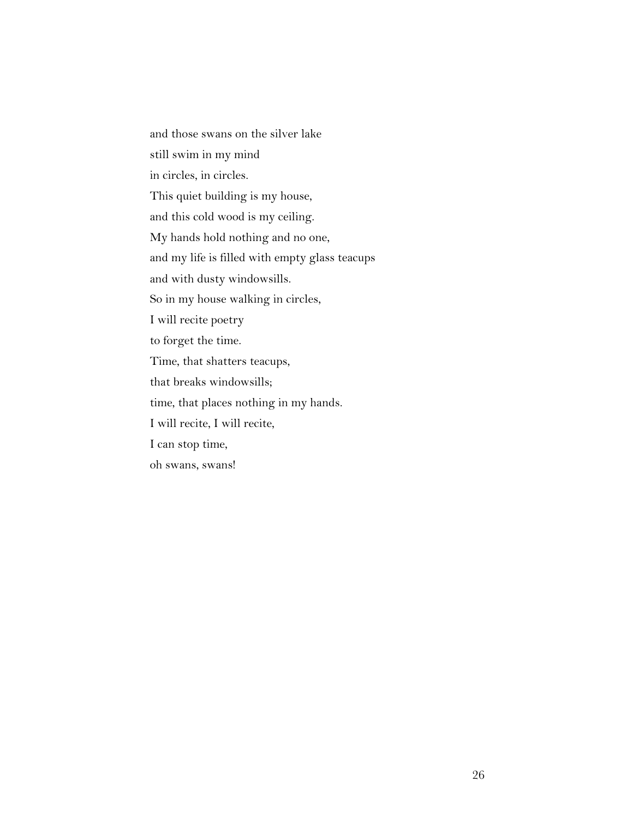and those swans on the silver lake still swim in my mind in circles, in circles. This quiet building is my house, and this cold wood is my ceiling. My hands hold nothing and no one, and my life is filled with empty glass teacups and with dusty windowsills. So in my house walking in circles, I will recite poetry to forget the time. Time, that shatters teacups, that breaks windowsills; time, that places nothing in my hands. I will recite, I will recite, I can stop time, oh swans, swans!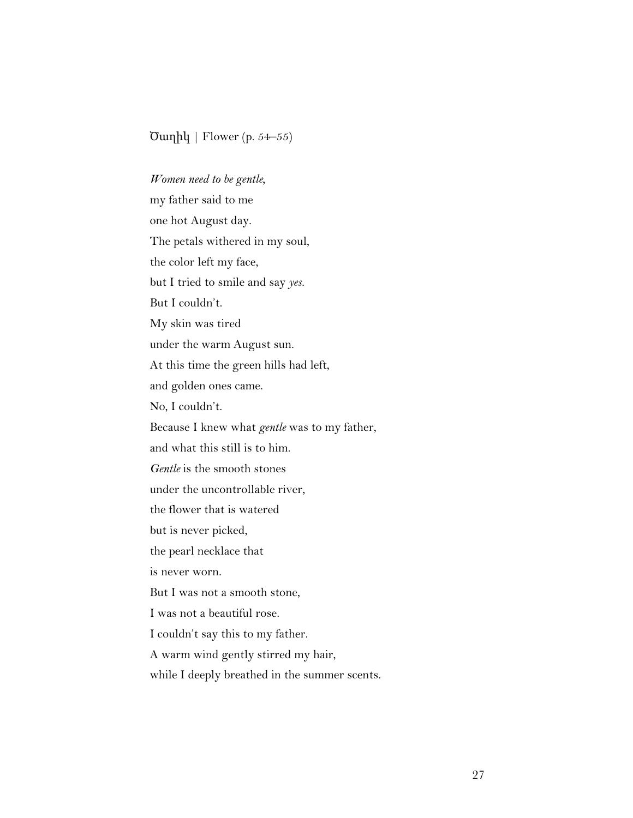#### $\text{Ounph}$  | Flower (p. 54–55)

*Women need to be gentle,* my father said to me one hot August day. The petals withered in my soul, the color left my face, but I tried to smile and say *yes.* But I couldn't. My skin was tired under the warm August sun. At this time the green hills had left, and golden ones came. No, I couldn't. Because I knew what *gentle* was to my father, and what this still is to him. *Gentle* is the smooth stones under the uncontrollable river, the flower that is watered but is never picked, the pearl necklace that is never worn. But I was not a smooth stone, I was not a beautiful rose. I couldn't say this to my father. A warm wind gently stirred my hair, while I deeply breathed in the summer scents.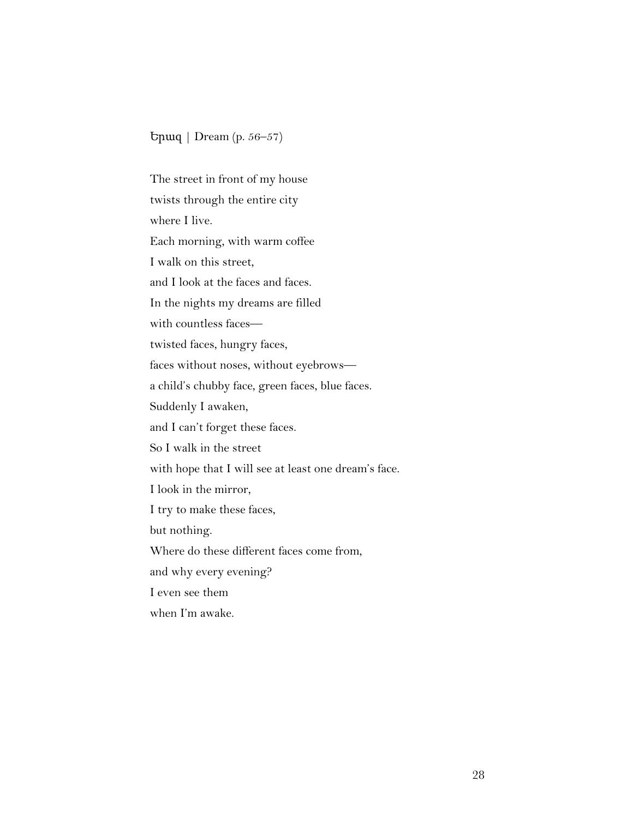Երազ | Dream (p. 56–57)

The street in front of my house twists through the entire city where I live. Each morning, with warm coffee I walk on this street, and I look at the faces and faces. In the nights my dreams are filled with countless faces twisted faces, hungry faces, faces without noses, without eyebrows a child's chubby face, green faces, blue faces. Suddenly I awaken, and I can't forget these faces. So I walk in the street with hope that I will see at least one dream's face. I look in the mirror, I try to make these faces, but nothing. Where do these different faces come from, and why every evening? I even see them when I'm awake.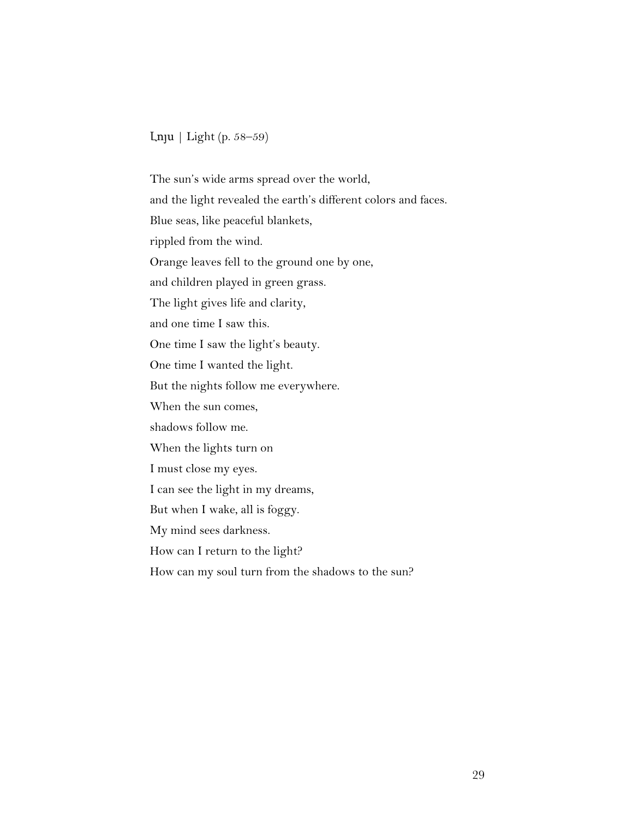Լոյս | Light (p. 58–59)

The sun's wide arms spread over the world, and the light revealed the earth's different colors and faces. Blue seas, like peaceful blankets, rippled from the wind. Orange leaves fell to the ground one by one, and children played in green grass. The light gives life and clarity, and one time I saw this. One time I saw the light's beauty. One time I wanted the light. But the nights follow me everywhere. When the sun comes, shadows follow me. When the lights turn on I must close my eyes. I can see the light in my dreams, But when I wake, all is foggy. My mind sees darkness. How can I return to the light? How can my soul turn from the shadows to the sun?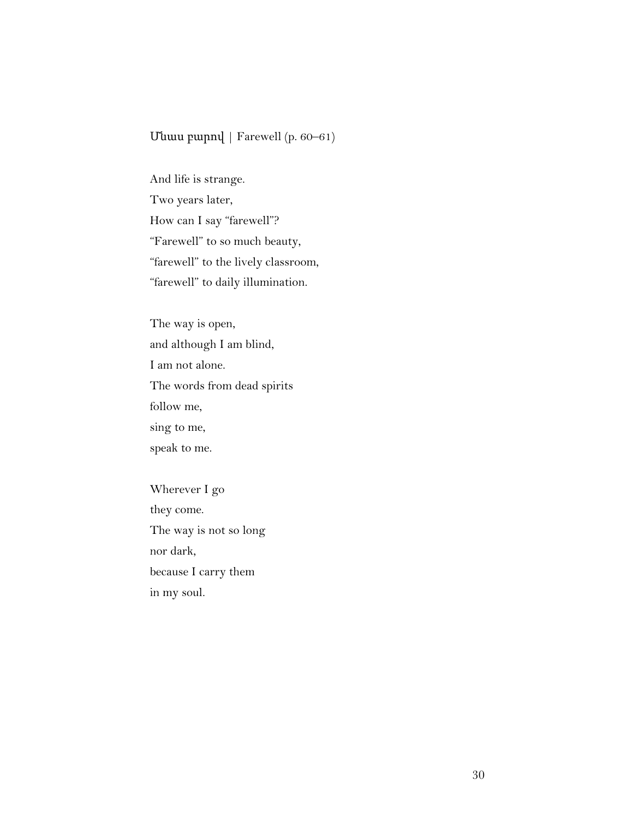#### Մնաս բարով | Farewell (p. 60–61)

And life is strange. Two years later, How can I say "farewell"? "Farewell" to so much beauty, "farewell" to the lively classroom, "farewell" to daily illumination.

The way is open, and although I am blind, I am not alone. The words from dead spirits follow me, sing to me, speak to me.

Wherever I go they come. The way is not so long nor dark, because I carry them in my soul.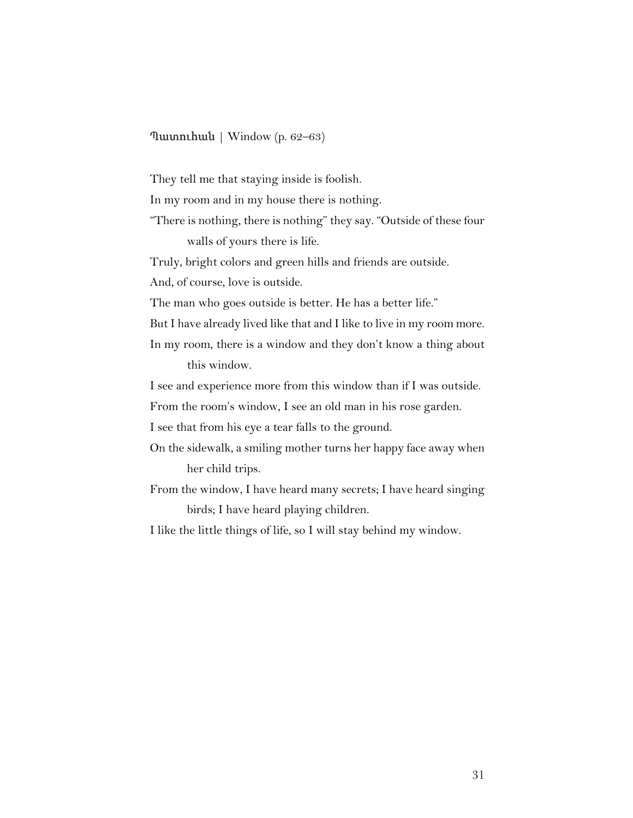#### Պատուհան | Window (p. 62–63)

They tell me that staying inside is foolish.

In my room and in my house there is nothing.

"There is nothing, there is nothing" they say. "Outside of these four walls of yours there is life.

Truly, bright colors and green hills and friends are outside.

And, of course, love is outside.

The man who goes outside is better. He has a better life."

But I have already lived like that and I like to live in my room more.

In my room, there is a window and they don't know a thing about this window.

I see and experience more from this window than if I was outside.

From the room's window, I see an old man in his rose garden.

I see that from his eye a tear falls to the ground.

- On the sidewalk, a smiling mother turns her happy face away when her child trips.
- From the window, I have heard many secrets; I have heard singing birds; I have heard playing children.

I like the little things of life, so I will stay behind my window.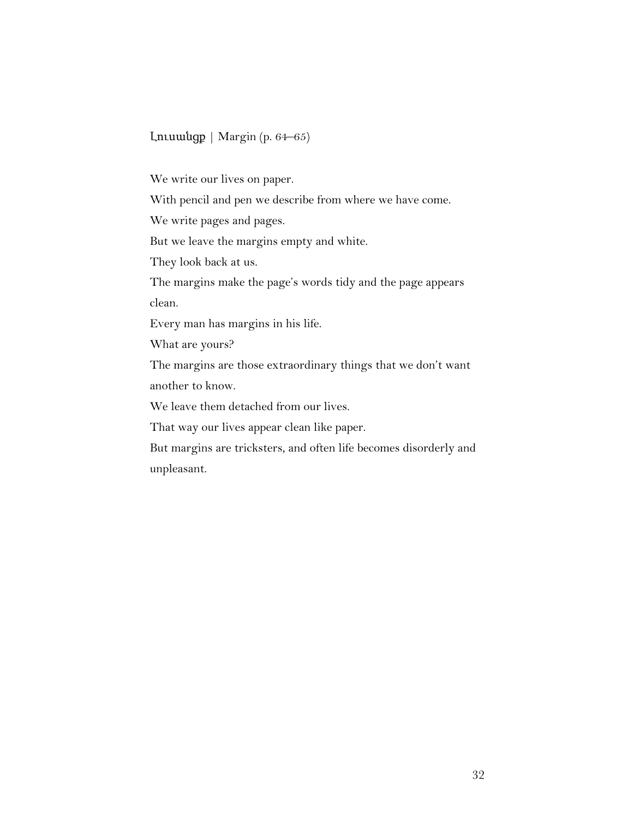## Լուսանցք | Margin (p. 64–65)

We write our lives on paper.

With pencil and pen we describe from where we have come.

We write pages and pages.

But we leave the margins empty and white.

They look back at us.

The margins make the page's words tidy and the page appears clean.

Every man has margins in his life.

What are yours?

The margins are those extraordinary things that we don't want another to know.

We leave them detached from our lives.

That way our lives appear clean like paper.

But margins are tricksters, and often life becomes disorderly and unpleasant.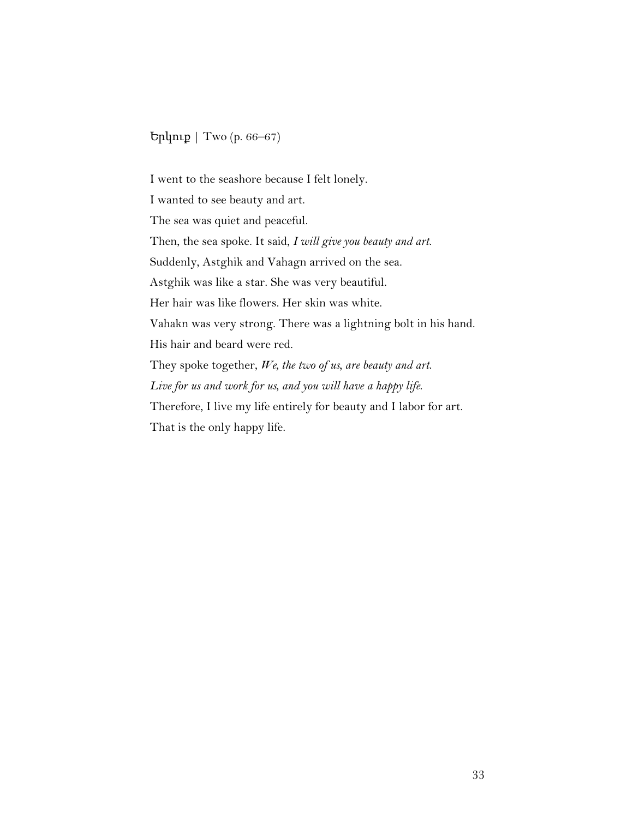Երկուք | Two (p. 66–67)

I went to the seashore because I felt lonely. I wanted to see beauty and art. The sea was quiet and peaceful. Then, the sea spoke. It said, *I will give you beauty and art*. Suddenly, Astghik and Vahagn arrived on the sea. Astghik was like a star. She was very beautiful. Her hair was like flowers. Her skin was white. Vahakn was very strong. There was a lightning bolt in his hand. His hair and beard were red. They spoke together, *We, the two of us, are beauty and art*. *Live for us and work for us, and you will have a happy life*. Therefore, I live my life entirely for beauty and I labor for art. That is the only happy life.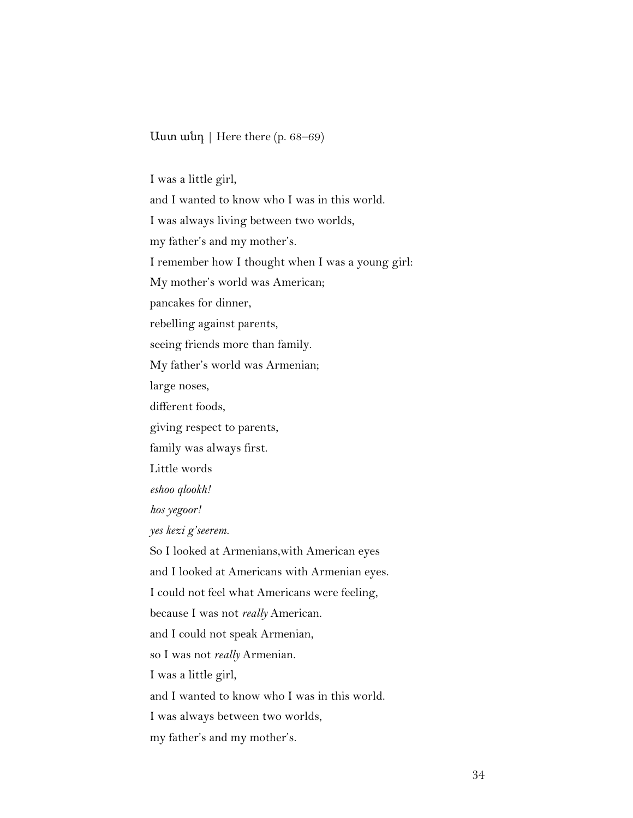Աստ անդ | Here there (p. 68–69)

I was a little girl,

and I wanted to know who I was in this world.

I was always living between two worlds,

my father's and my mother's.

I remember how I thought when I was a young girl:

My mother's world was American;

pancakes for dinner,

rebelling against parents,

seeing friends more than family.

My father's world was Armenian;

large noses,

different foods,

giving respect to parents,

family was always first.

Little words

*eshoo qlookh!*

*hos yegoor!*

*yes kezi g'seerem.*

So I looked at Armenians,with American eyes and I looked at Americans with Armenian eyes. I could not feel what Americans were feeling, because I was not *really* American. and I could not speak Armenian, so I was not *really* Armenian. I was a little girl, and I wanted to know who I was in this world. I was always between two worlds,

my father's and my mother's.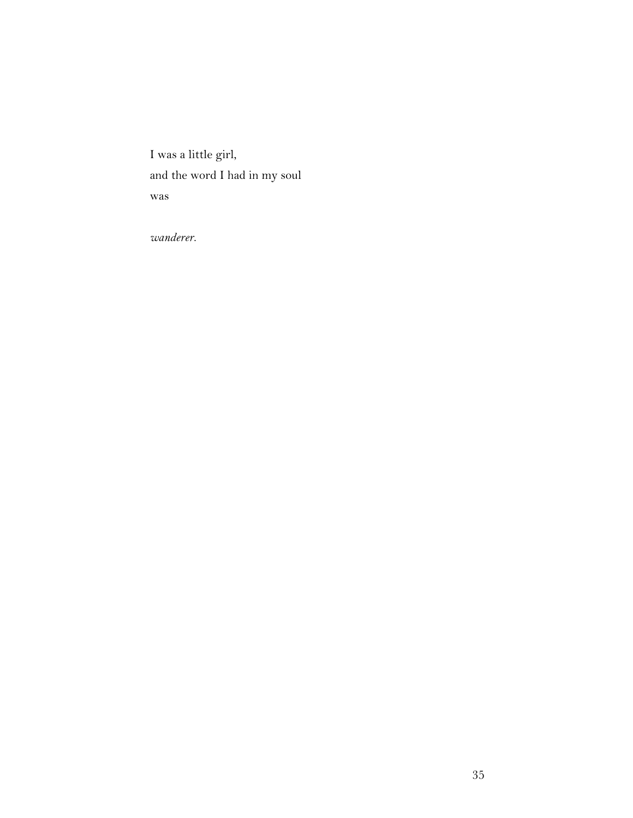I was a little girl, and the word I had in my soul was

*wanderer*.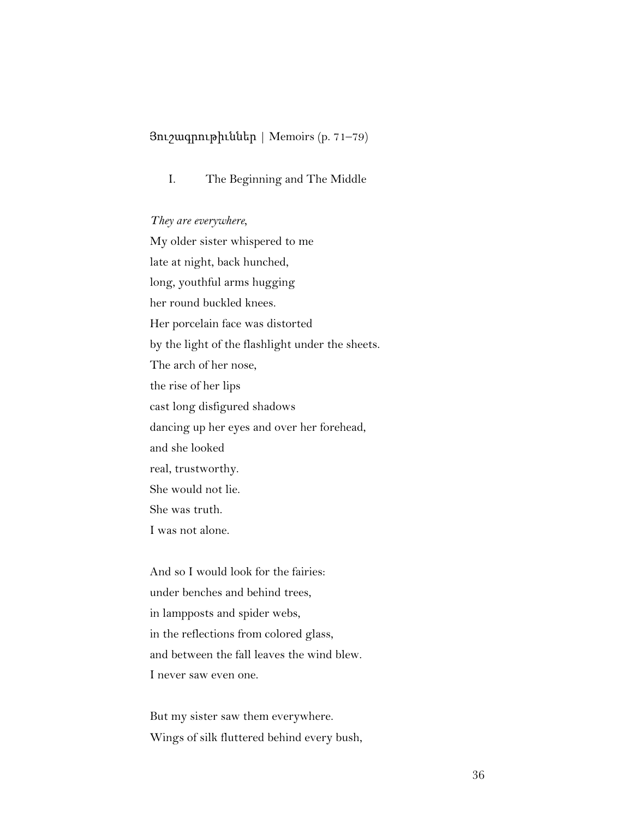## Յուշագրութիւններ | Memoirs (p. 71–79)

I. The Beginning and The Middle

#### *They are everywhere,*

My older sister whispered to me late at night, back hunched, long, youthful arms hugging her round buckled knees. Her porcelain face was distorted by the light of the flashlight under the sheets. The arch of her nose, the rise of her lips cast long disfigured shadows dancing up her eyes and over her forehead, and she looked real, trustworthy. She would not lie. She was truth. I was not alone.

And so I would look for the fairies: under benches and behind trees, in lampposts and spider webs, in the reflections from colored glass, and between the fall leaves the wind blew. I never saw even one.

But my sister saw them everywhere. Wings of silk fluttered behind every bush,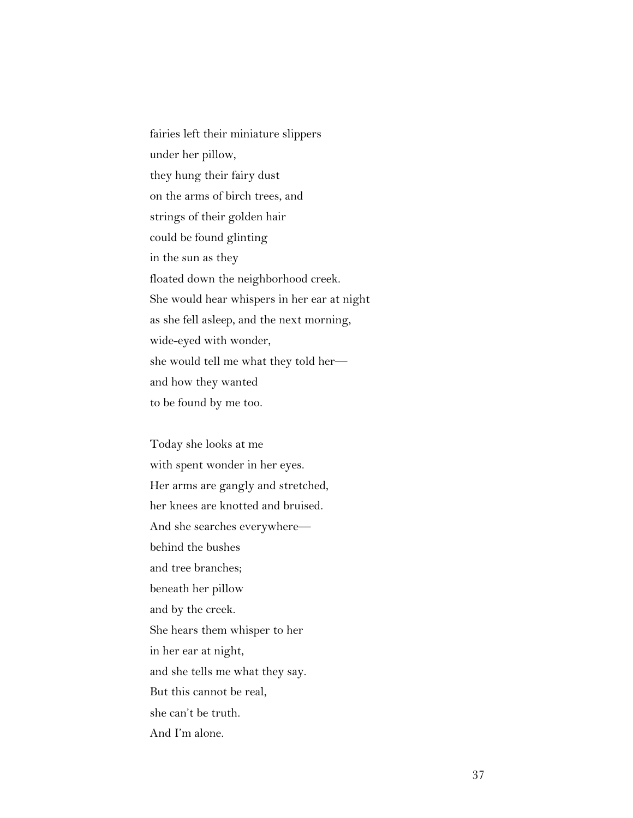fairies left their miniature slippers under her pillow, they hung their fairy dust on the arms of birch trees, and strings of their golden hair could be found glinting in the sun as they floated down the neighborhood creek. She would hear whispers in her ear at night as she fell asleep, and the next morning, wide-eyed with wonder, she would tell me what they told her and how they wanted to be found by me too.

Today she looks at me with spent wonder in her eyes. Her arms are gangly and stretched, her knees are knotted and bruised. And she searches everywhere behind the bushes and tree branches; beneath her pillow and by the creek. She hears them whisper to her in her ear at night, and she tells me what they say. But this cannot be real, she can't be truth. And I'm alone.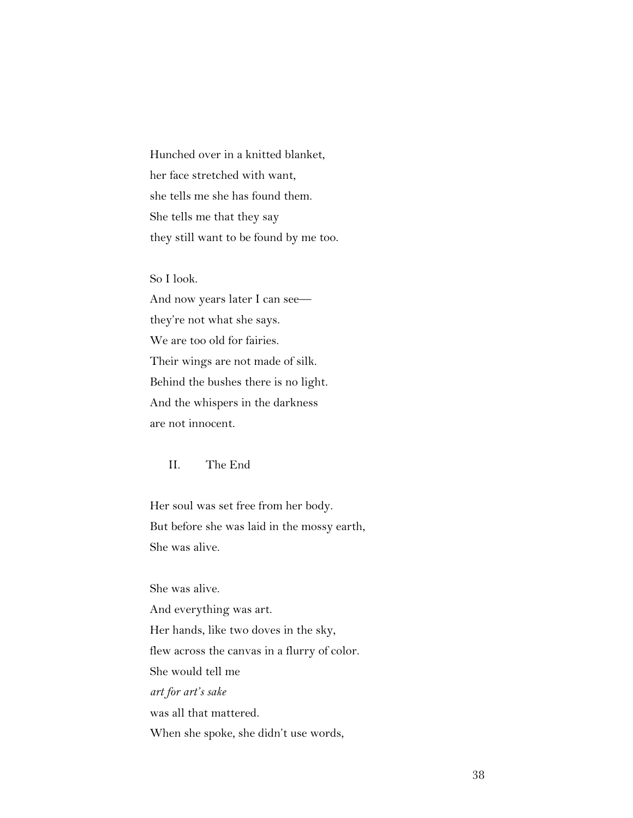Hunched over in a knitted blanket, her face stretched with want, she tells me she has found them. She tells me that they say they still want to be found by me too.

So I look.

And now years later I can see they're not what she says. We are too old for fairies. Their wings are not made of silk. Behind the bushes there is no light. And the whispers in the darkness are not innocent.

II. The End

Her soul was set free from her body. But before she was laid in the mossy earth, She was alive.

She was alive.

And everything was art. Her hands, like two doves in the sky, flew across the canvas in a flurry of color. She would tell me *art for art's sake* was all that mattered. When she spoke, she didn't use words,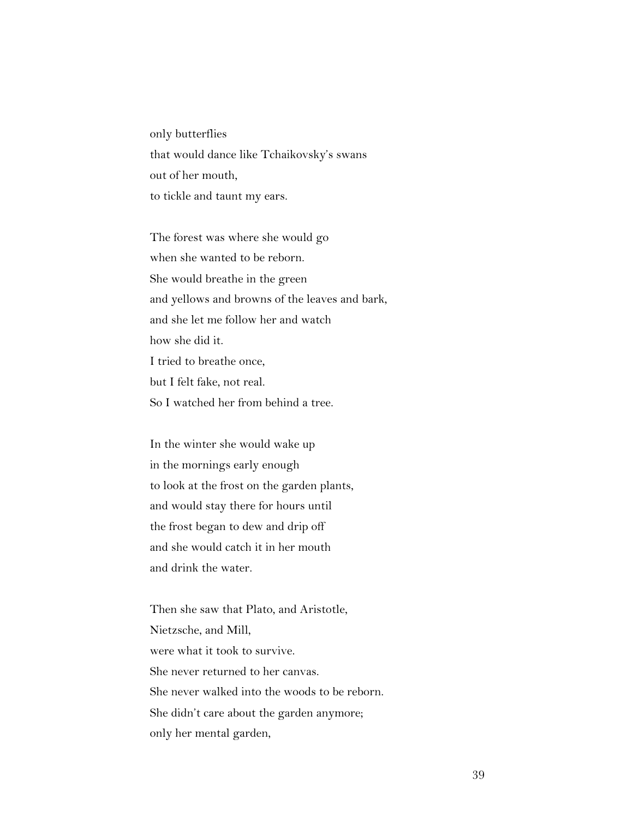only butterflies that would dance like Tchaikovsky's swans out of her mouth, to tickle and taunt my ears.

The forest was where she would go when she wanted to be reborn. She would breathe in the green and yellows and browns of the leaves and bark, and she let me follow her and watch how she did it. I tried to breathe once, but I felt fake, not real. So I watched her from behind a tree.

In the winter she would wake up in the mornings early enough to look at the frost on the garden plants, and would stay there for hours until the frost began to dew and drip off and she would catch it in her mouth and drink the water.

Then she saw that Plato, and Aristotle, Nietzsche, and Mill, were what it took to survive. She never returned to her canvas. She never walked into the woods to be reborn. She didn't care about the garden anymore; only her mental garden,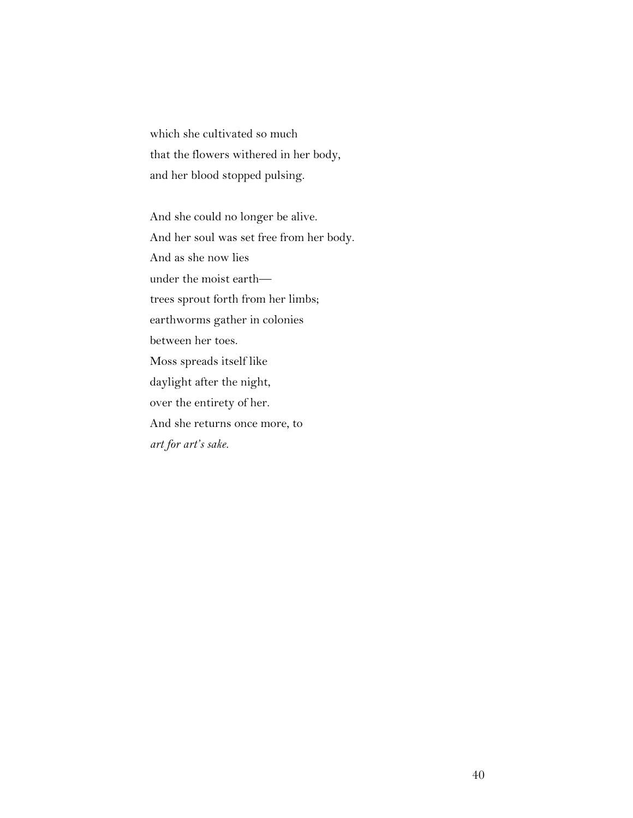which she cultivated so much that the flowers withered in her body, and her blood stopped pulsing.

And she could no longer be alive. And her soul was set free from her body. And as she now lies under the moist earth trees sprout forth from her limbs; earthworms gather in colonies between her toes. Moss spreads itself like daylight after the night, over the entirety of her. And she returns once more, to *art for art's sake.*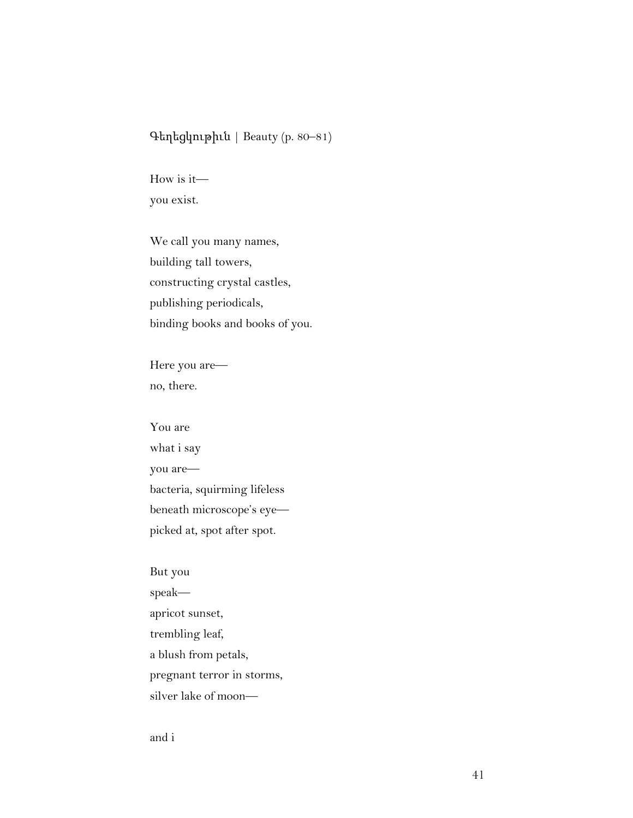## Գեղեցկութիւն | Beauty (p. 80–81)

How is it you exist.

We call you many names, building tall towers, constructing crystal castles, publishing periodicals, binding books and books of you.

Here you are no, there.

You are what i say you are bacteria, squirming lifeless beneath microscope's eye picked at, spot after spot.

But you speak apricot sunset, trembling leaf, a blush from petals, pregnant terror in storms, silver lake of moon—

and i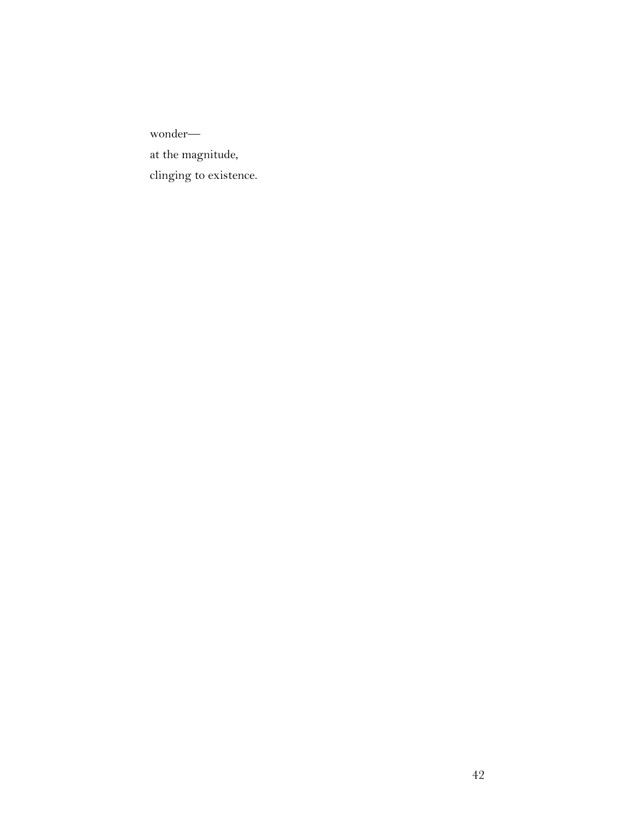wonder at the magnitude, clinging to existence.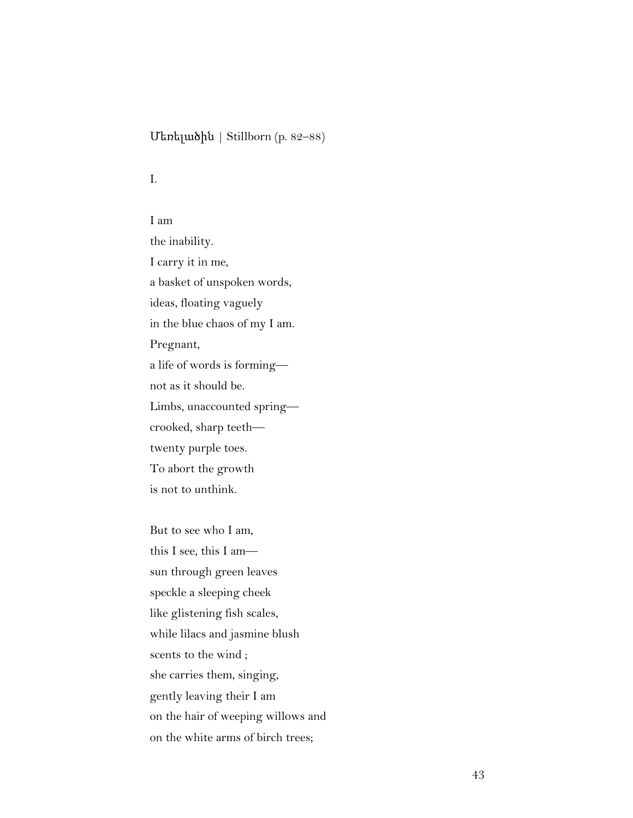## Մեռելածին | Stillborn (p. 82–88)

I.

I am the inability. I carry it in me, a basket of unspoken words, ideas, floating vaguely in the blue chaos of my I am. Pregnant, a life of words is forming not as it should be. Limbs, unaccounted spring crooked, sharp teeth twenty purple toes. To abort the growth is not to unthink.

But to see who I am, this I see, this I am sun through green leaves speckle a sleeping cheek like glistening fish scales, while lilacs and jasmine blush scents to the wind ; she carries them, singing, gently leaving their I am on the hair of weeping willows and on the white arms of birch trees;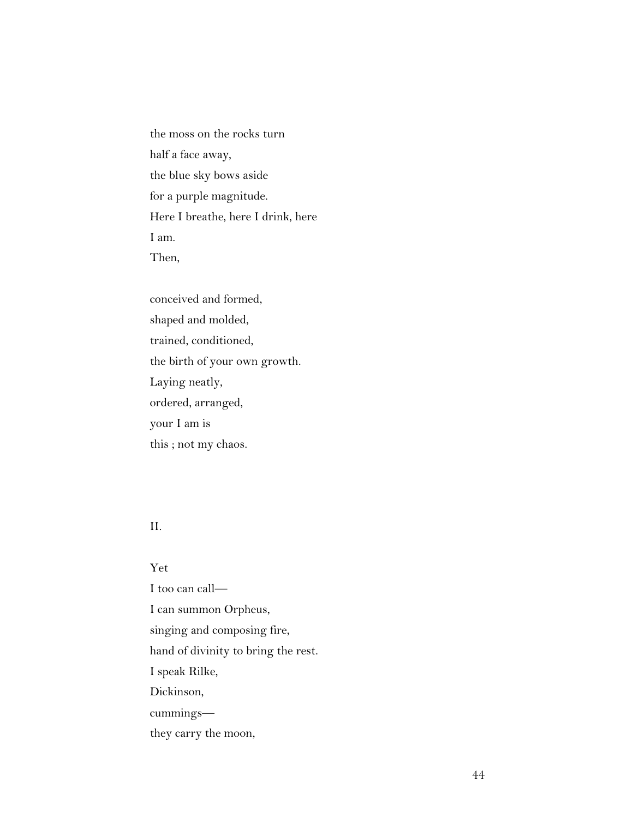the moss on the rocks turn half a face away, the blue sky bows aside for a purple magnitude. Here I breathe, here I drink, here I am. Then,

conceived and formed, shaped and molded, trained, conditioned, the birth of your own growth. Laying neatly, ordered, arranged, your I am is this ; not my chaos.

### II.

#### Yet

I too can call— I can summon Orpheus, singing and composing fire, hand of divinity to bring the rest. I speak Rilke, Dickinson, cummings they carry the moon,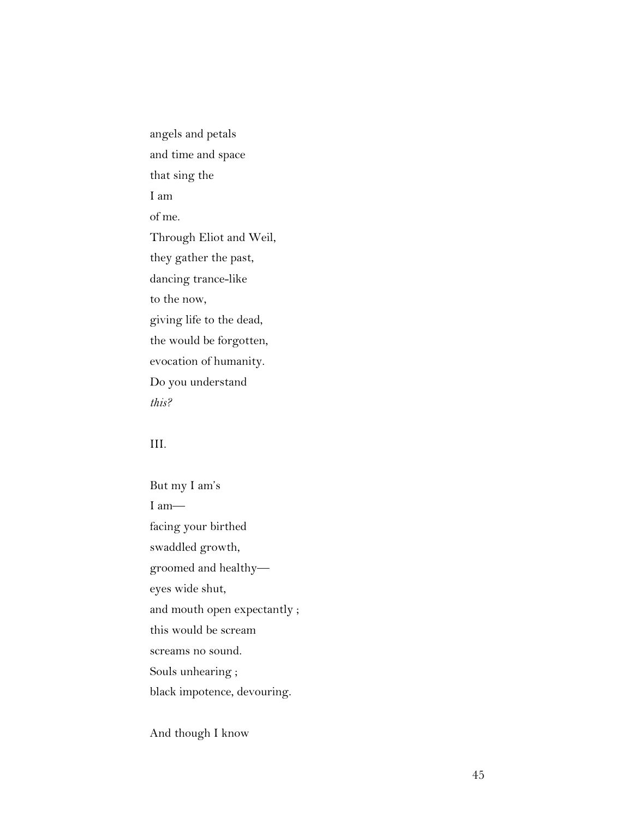angels and petals and time and space that sing the I am of me. Through Eliot and Weil, they gather the past, dancing trance-like to the now, giving life to the dead, the would be forgotten, evocation of humanity. Do you understand *this?*

## III.

But my I am's I am facing your birthed swaddled growth, groomed and healthy eyes wide shut, and mouth open expectantly ; this would be scream screams no sound. Souls unhearing ; black impotence, devouring.

And though I know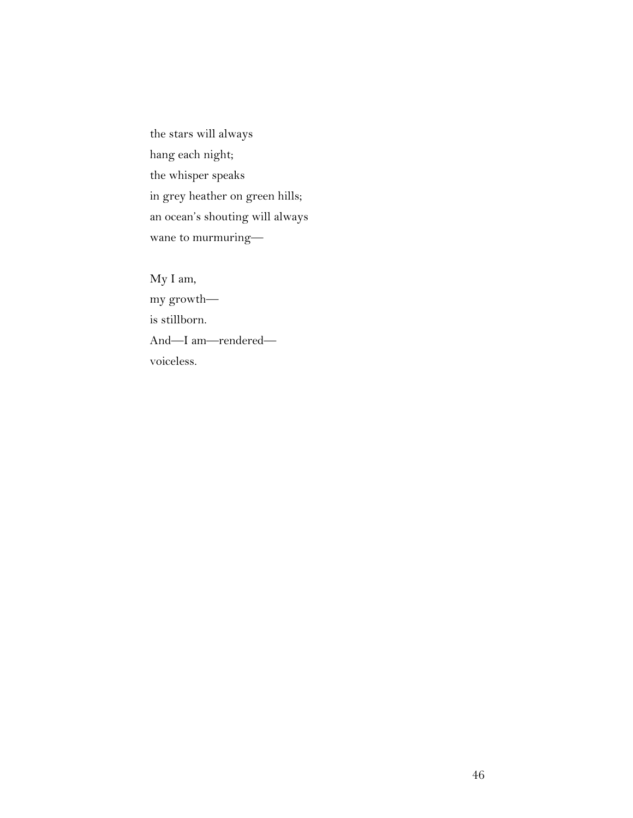the stars will always hang each night; the whisper speaks in grey heather on green hills; an ocean's shouting will always wane to murmuring—

My I am, my growth is stillborn. And—I am—rendered voiceless.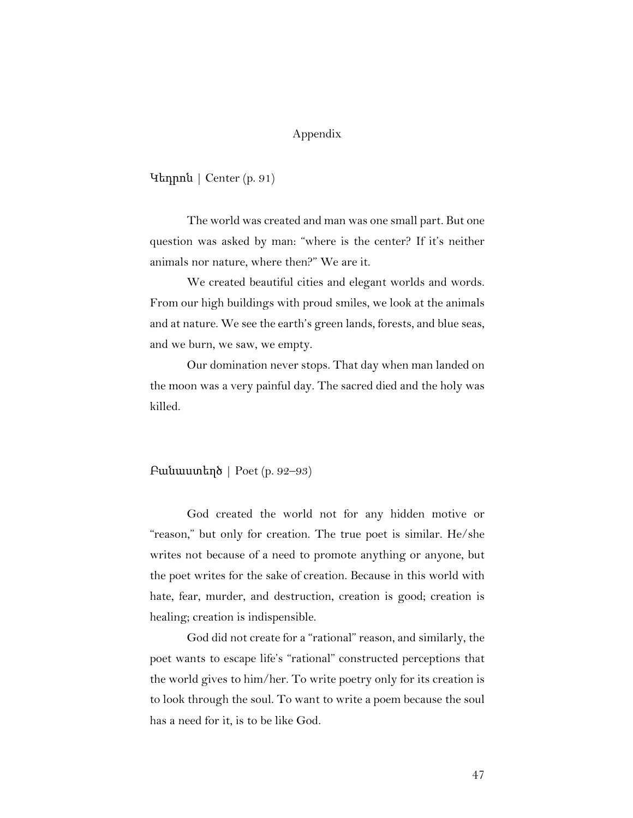#### Appendix

Կեդրոն | Center (p. 91)

The world was created and man was one small part. But one question was asked by man: "where is the center? If it's neither animals nor nature, where then?" We are it.

We created beautiful cities and elegant worlds and words. From our high buildings with proud smiles, we look at the animals and at nature. We see the earth's green lands, forests, and blue seas, and we burn, we saw, we empty.

Our domination never stops. That day when man landed on the moon was a very painful day. The sacred died and the holy was killed.

#### Բանաստեղծ | Poet (p. 92–93)

God created the world not for any hidden motive or "reason," but only for creation. The true poet is similar. He/she writes not because of a need to promote anything or anyone, but the poet writes for the sake of creation. Because in this world with hate, fear, murder, and destruction, creation is good; creation is healing; creation is indispensible.

God did not create for a "rational" reason, and similarly, the poet wants to escape life's "rational" constructed perceptions that the world gives to him/her. To write poetry only for its creation is to look through the soul. To want to write a poem because the soul has a need for it, is to be like God.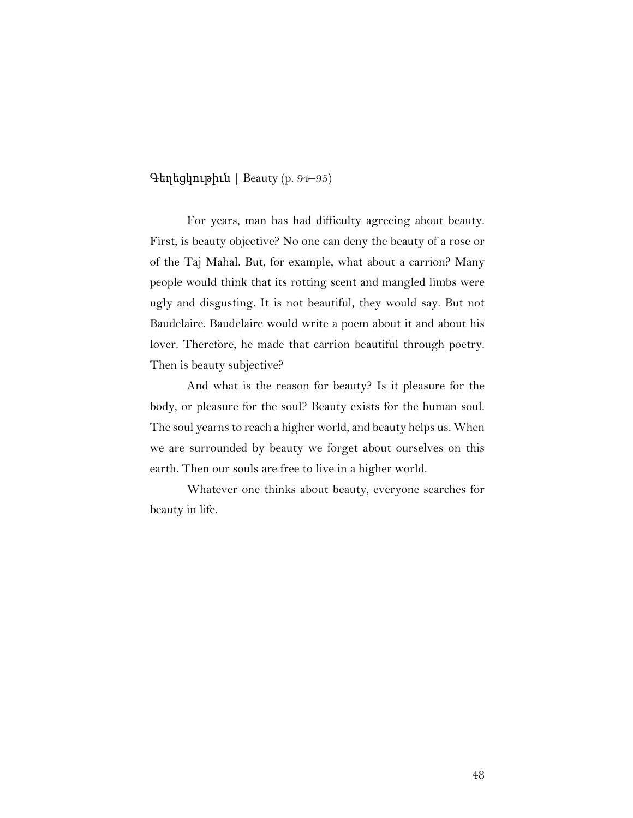Գեղեցկութիւն | Beauty (p. 94–95)

For years, man has had difficulty agreeing about beauty. First, is beauty objective? No one can deny the beauty of a rose or of the Taj Mahal. But, for example, what about a carrion? Many people would think that its rotting scent and mangled limbs were ugly and disgusting. It is not beautiful, they would say. But not Baudelaire. Baudelaire would write a poem about it and about his lover. Therefore, he made that carrion beautiful through poetry. Then is beauty subjective?

And what is the reason for beauty? Is it pleasure for the body, or pleasure for the soul? Beauty exists for the human soul. The soul yearns to reach a higher world, and beauty helps us. When we are surrounded by beauty we forget about ourselves on this earth. Then our souls are free to live in a higher world.

Whatever one thinks about beauty, everyone searches for beauty in life.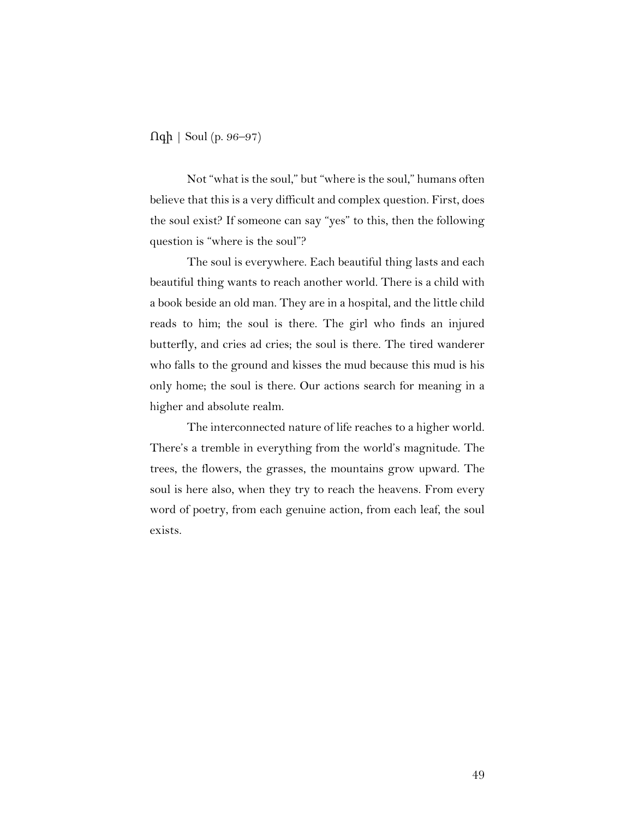Ոգի | Soul (p. 96–97)

Not "what is the soul," but "where is the soul," humans often believe that this is a very difficult and complex question. First, does the soul exist? If someone can say "yes" to this, then the following question is "where is the soul"?

The soul is everywhere. Each beautiful thing lasts and each beautiful thing wants to reach another world. There is a child with a book beside an old man. They are in a hospital, and the little child reads to him; the soul is there. The girl who finds an injured butterfly, and cries ad cries; the soul is there. The tired wanderer who falls to the ground and kisses the mud because this mud is his only home; the soul is there. Our actions search for meaning in a higher and absolute realm.

The interconnected nature of life reaches to a higher world. There's a tremble in everything from the world's magnitude. The trees, the flowers, the grasses, the mountains grow upward. The soul is here also, when they try to reach the heavens. From every word of poetry, from each genuine action, from each leaf, the soul exists.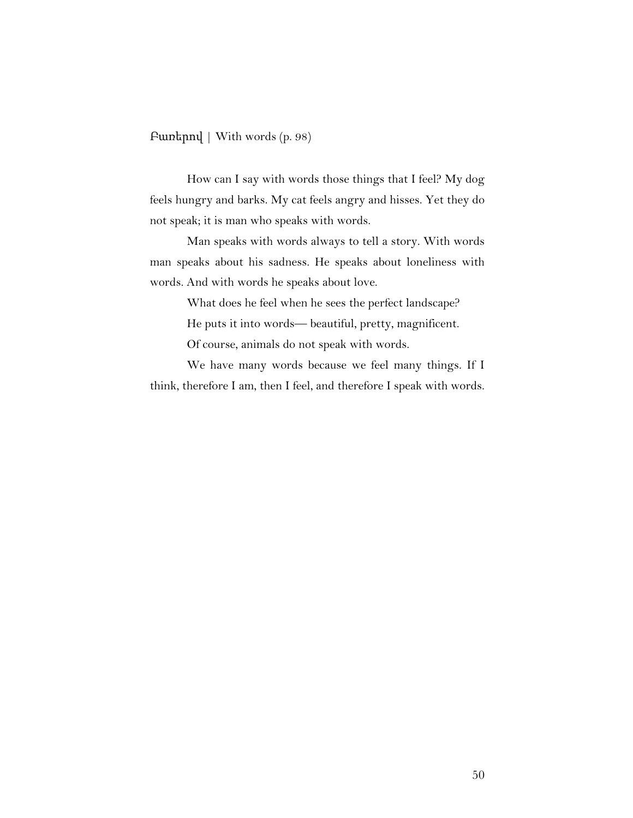Բառերով | With words (p. 98)

How can I say with words those things that I feel? My dog feels hungry and barks. My cat feels angry and hisses. Yet they do not speak; it is man who speaks with words.

Man speaks with words always to tell a story. With words man speaks about his sadness. He speaks about loneliness with words. And with words he speaks about love.

> What does he feel when he sees the perfect landscape? He puts it into words— beautiful, pretty, magnificent.

Of course, animals do not speak with words.

We have many words because we feel many things. If I think, therefore I am, then I feel, and therefore I speak with words.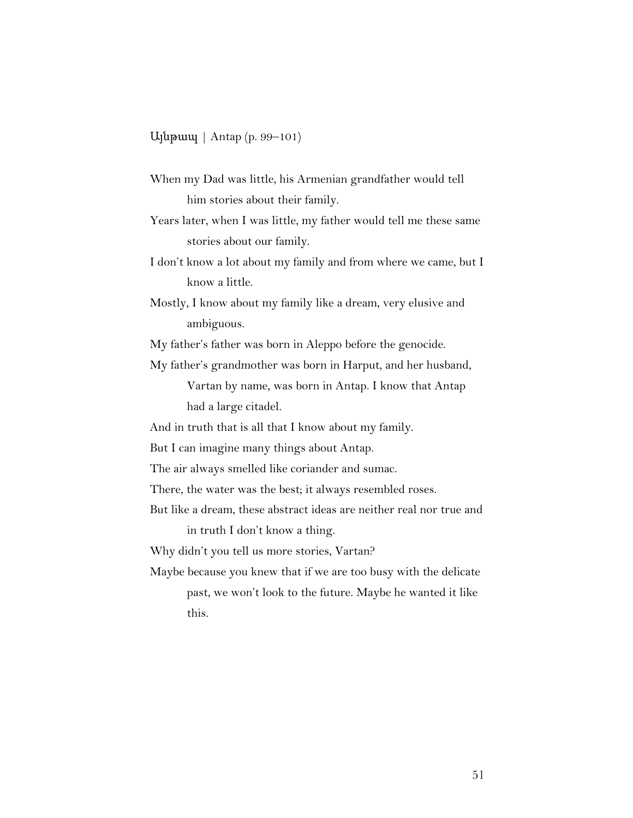Այնթապ | Antap (p. 99–101)

- When my Dad was little, his Armenian grandfather would tell him stories about their family.
- Years later, when I was little, my father would tell me these same stories about our family.
- I don't know a lot about my family and from where we came, but I know a little.

Mostly, I know about my family like a dream, very elusive and ambiguous.

My father's father was born in Aleppo before the genocide.

My father's grandmother was born in Harput, and her husband,

Vartan by name, was born in Antap. I know that Antap had a large citadel.

And in truth that is all that I know about my family.

But I can imagine many things about Antap.

The air always smelled like coriander and sumac.

There, the water was the best; it always resembled roses.

But like a dream, these abstract ideas are neither real nor true and

in truth I don't know a thing.

Why didn't you tell us more stories, Vartan?

Maybe because you knew that if we are too busy with the delicate past, we won't look to the future. Maybe he wanted it like this.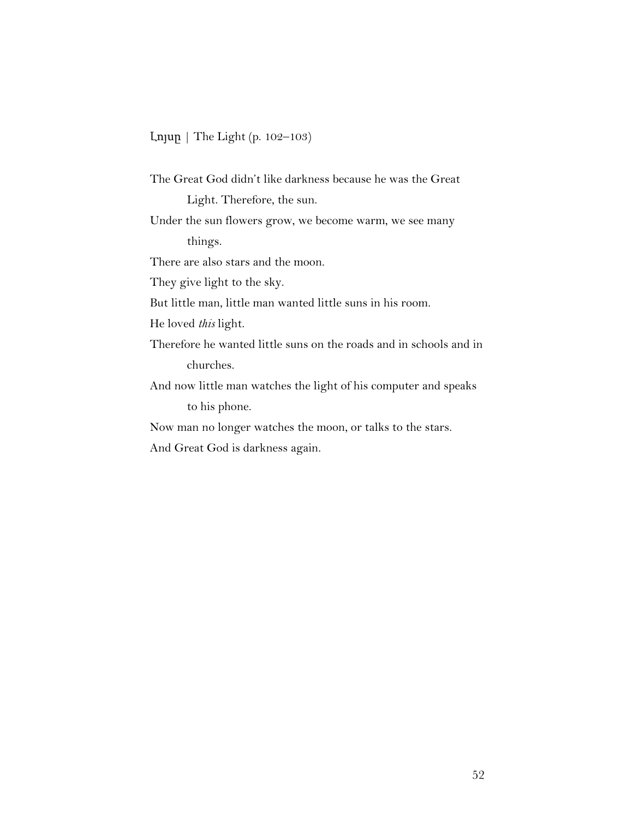#### Լոյսը | The Light (p. 102–103)

The Great God didn't like darkness because he was the Great Light. Therefore, the sun. Under the sun flowers grow, we become warm, we see many things. There are also stars and the moon. They give light to the sky. But little man, little man wanted little suns in his room. He loved *this* light. Therefore he wanted little suns on the roads and in schools and in churches. And now little man watches the light of his computer and speaks to his phone. Now man no longer watches the moon, or talks to the stars.

And Great God is darkness again.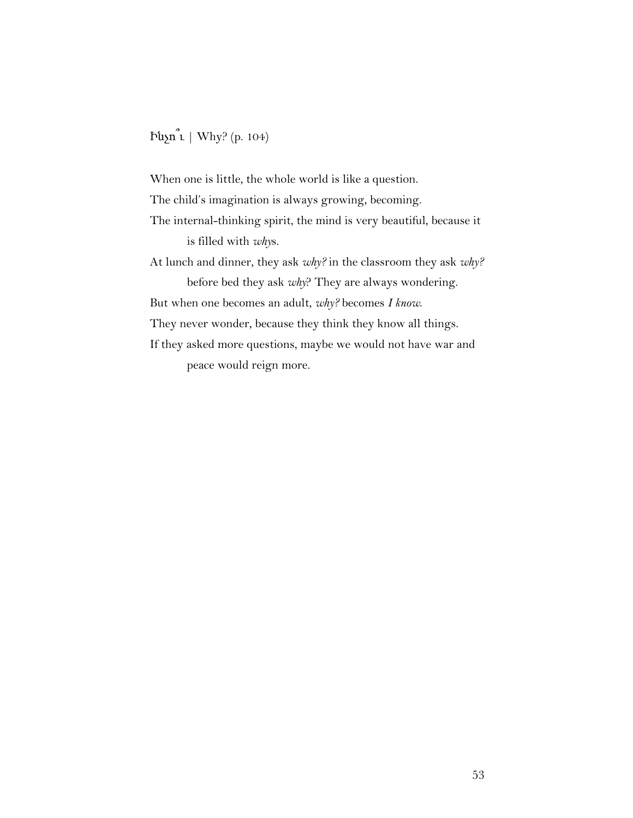# Ինչո՞ւ | Why? (p. 104)

When one is little, the whole world is like a question. The child's imagination is always growing, becoming. The internal-thinking spirit, the mind is very beautiful, because it is filled with *why*s. At lunch and dinner, they ask *why?* in the classroom they ask *why?* before bed they ask *why*? They are always wondering. But when one becomes an adult, *why?* becomes *I know*. They never wonder, because they think they know all things. If they asked more questions, maybe we would not have war and peace would reign more.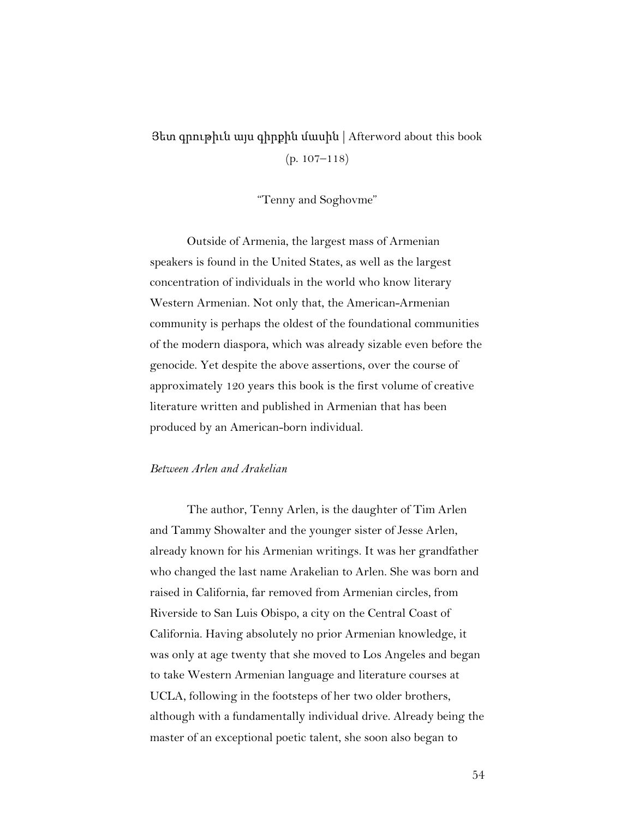# Յետ գրութիւն այս գիրքին մասին | Afterword about this book (p. 107–118)

"Tenny and Soghovme"

Outside of Armenia, the largest mass of Armenian speakers is found in the United States, as well as the largest concentration of individuals in the world who know literary Western Armenian. Not only that, the American-Armenian community is perhaps the oldest of the foundational communities of the modern diaspora, which was already sizable even before the genocide. Yet despite the above assertions, over the course of approximately 120 years this book is the first volume of creative literature written and published in Armenian that has been produced by an American-born individual.

#### *Between Arlen and Arakelian*

The author, Tenny Arlen, is the daughter of Tim Arlen and Tammy Showalter and the younger sister of Jesse Arlen, already known for his Armenian writings. It was her grandfather who changed the last name Arakelian to Arlen. She was born and raised in California, far removed from Armenian circles, from Riverside to San Luis Obispo, a city on the Central Coast of California. Having absolutely no prior Armenian knowledge, it was only at age twenty that she moved to Los Angeles and began to take Western Armenian language and literature courses at UCLA, following in the footsteps of her two older brothers, although with a fundamentally individual drive. Already being the master of an exceptional poetic talent, she soon also began to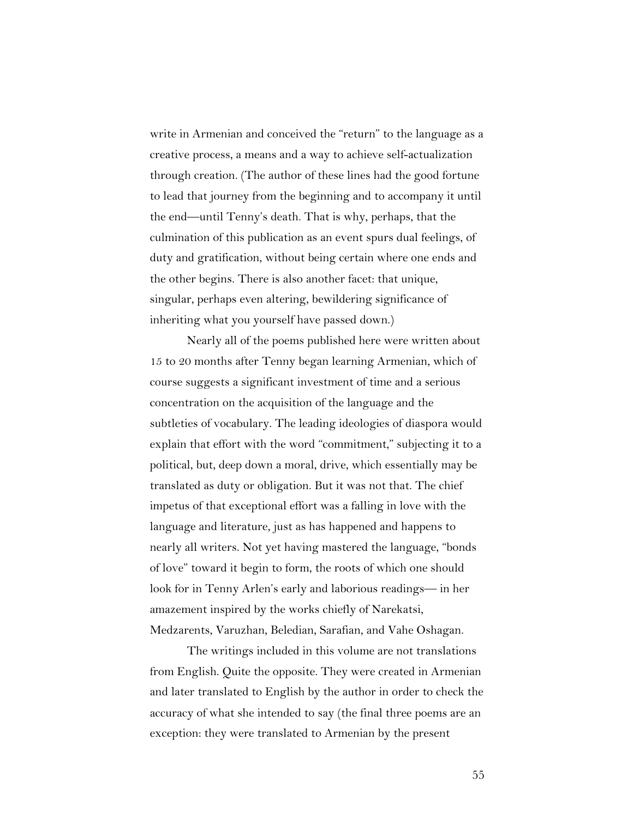write in Armenian and conceived the "return" to the language as a creative process, a means and a way to achieve self-actualization through creation. (The author of these lines had the good fortune to lead that journey from the beginning and to accompany it until the end—until Tenny's death. That is why, perhaps, that the culmination of this publication as an event spurs dual feelings, of duty and gratification, without being certain where one ends and the other begins. There is also another facet: that unique, singular, perhaps even altering, bewildering significance of inheriting what you yourself have passed down.)

Nearly all of the poems published here were written about 15 to 20 months after Tenny began learning Armenian, which of course suggests a significant investment of time and a serious concentration on the acquisition of the language and the subtleties of vocabulary. The leading ideologies of diaspora would explain that effort with the word "commitment," subjecting it to a political, but, deep down a moral, drive, which essentially may be translated as duty or obligation. But it was not that. The chief impetus of that exceptional effort was a falling in love with the language and literature, just as has happened and happens to nearly all writers. Not yet having mastered the language, "bonds of love" toward it begin to form, the roots of which one should look for in Tenny Arlen's early and laborious readings— in her amazement inspired by the works chiefly of Narekatsi, Medzarents, Varuzhan, Beledian, Sarafian, and Vahe Oshagan.

The writings included in this volume are not translations from English. Quite the opposite. They were created in Armenian and later translated to English by the author in order to check the accuracy of what she intended to say (the final three poems are an exception: they were translated to Armenian by the present

55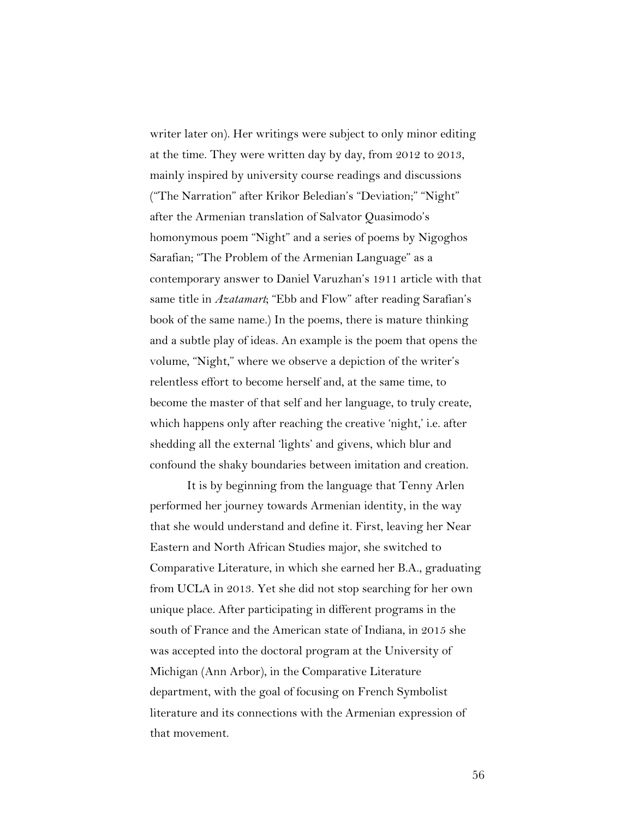writer later on). Her writings were subject to only minor editing at the time. They were written day by day, from 2012 to 2013, mainly inspired by university course readings and discussions ("The Narration" after Krikor Beledian's "Deviation;" "Night" after the Armenian translation of Salvator Quasimodo's homonymous poem "Night" and a series of poems by Nigoghos Sarafian; "The Problem of the Armenian Language" as a contemporary answer to Daniel Varuzhan's 1911 article with that same title in *Azatamart*; "Ebb and Flow" after reading Sarafian's book of the same name.) In the poems, there is mature thinking and a subtle play of ideas. An example is the poem that opens the volume, "Night," where we observe a depiction of the writer's relentless effort to become herself and, at the same time, to become the master of that self and her language, to truly create, which happens only after reaching the creative 'night,' i.e. after shedding all the external 'lights' and givens, which blur and confound the shaky boundaries between imitation and creation.

It is by beginning from the language that Tenny Arlen performed her journey towards Armenian identity, in the way that she would understand and define it. First, leaving her Near Eastern and North African Studies major, she switched to Comparative Literature, in which she earned her B.A., graduating from UCLA in 2013. Yet she did not stop searching for her own unique place. After participating in different programs in the south of France and the American state of Indiana, in 2015 she was accepted into the doctoral program at the University of Michigan (Ann Arbor), in the Comparative Literature department, with the goal of focusing on French Symbolist literature and its connections with the Armenian expression of that movement.

56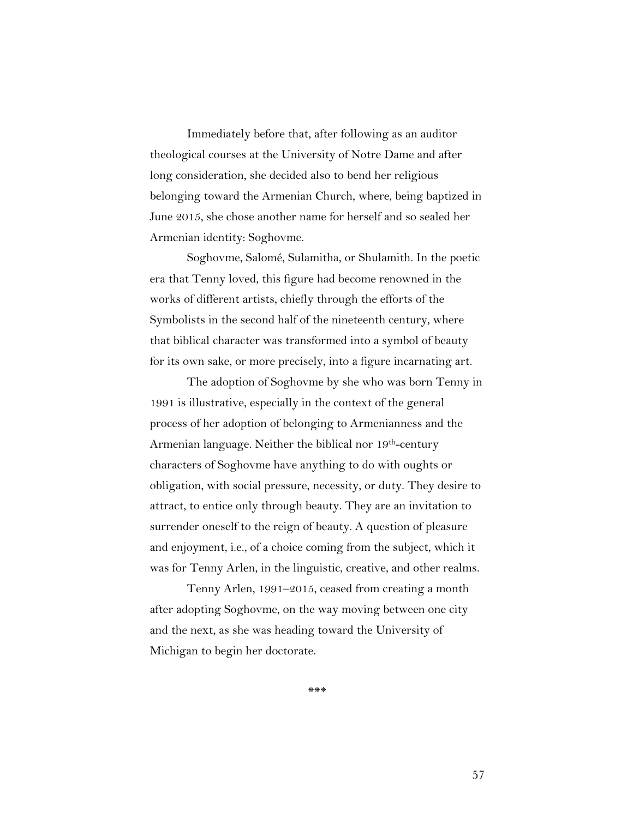Immediately before that, after following as an auditor theological courses at the University of Notre Dame and after long consideration, she decided also to bend her religious belonging toward the Armenian Church, where, being baptized in June 2015, she chose another name for herself and so sealed her Armenian identity: Soghovme.

Soghovme, Salomé, Sulamitha, or Shulamith. In the poetic era that Tenny loved, this figure had become renowned in the works of different artists, chiefly through the efforts of the Symbolists in the second half of the nineteenth century, where that biblical character was transformed into a symbol of beauty for its own sake, or more precisely, into a figure incarnating art.

The adoption of Soghovme by she who was born Tenny in 1991 is illustrative, especially in the context of the general process of her adoption of belonging to Armenianness and the Armenian language. Neither the biblical nor 19th-century characters of Soghovme have anything to do with oughts or obligation, with social pressure, necessity, or duty. They desire to attract, to entice only through beauty. They are an invitation to surrender oneself to the reign of beauty. A question of pleasure and enjoyment, i.e., of a choice coming from the subject, which it was for Tenny Arlen, in the linguistic, creative, and other realms.

Tenny Arlen, 1991–2015, ceased from creating a month after adopting Soghovme, on the way moving between one city and the next, as she was heading toward the University of Michigan to begin her doctorate.

\*\*\*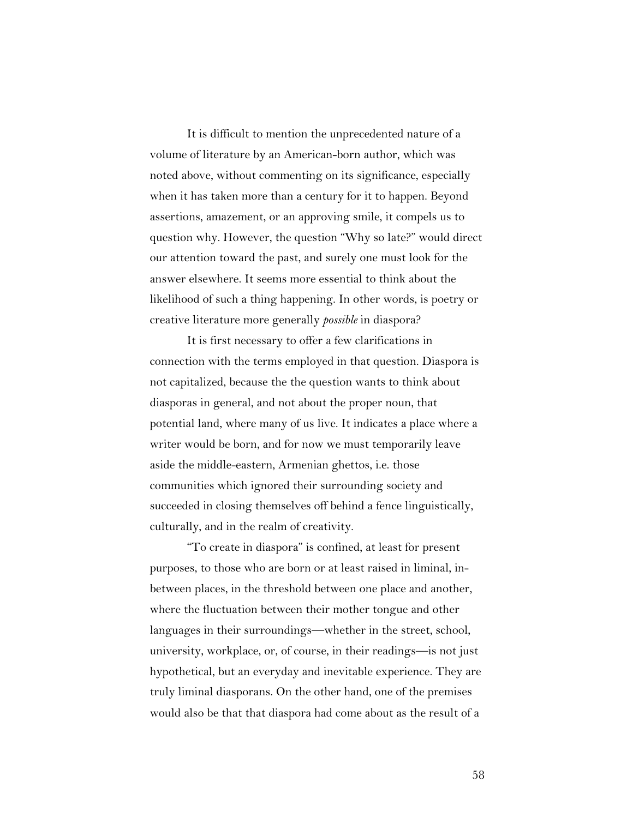It is difficult to mention the unprecedented nature of a volume of literature by an American-born author, which was noted above, without commenting on its significance, especially when it has taken more than a century for it to happen. Beyond assertions, amazement, or an approving smile, it compels us to question why. However, the question "Why so late?" would direct our attention toward the past, and surely one must look for the answer elsewhere. It seems more essential to think about the likelihood of such a thing happening. In other words, is poetry or creative literature more generally *possible* in diaspora?

It is first necessary to offer a few clarifications in connection with the terms employed in that question. Diaspora is not capitalized, because the the question wants to think about diasporas in general, and not about the proper noun, that potential land, where many of us live. It indicates a place where a writer would be born, and for now we must temporarily leave aside the middle-eastern, Armenian ghettos, i.e. those communities which ignored their surrounding society and succeeded in closing themselves off behind a fence linguistically, culturally, and in the realm of creativity.

"To create in diaspora" is confined, at least for present purposes, to those who are born or at least raised in liminal, inbetween places, in the threshold between one place and another, where the fluctuation between their mother tongue and other languages in their surroundings—whether in the street, school, university, workplace, or, of course, in their readings—is not just hypothetical, but an everyday and inevitable experience. They are truly liminal diasporans. On the other hand, one of the premises would also be that that diaspora had come about as the result of a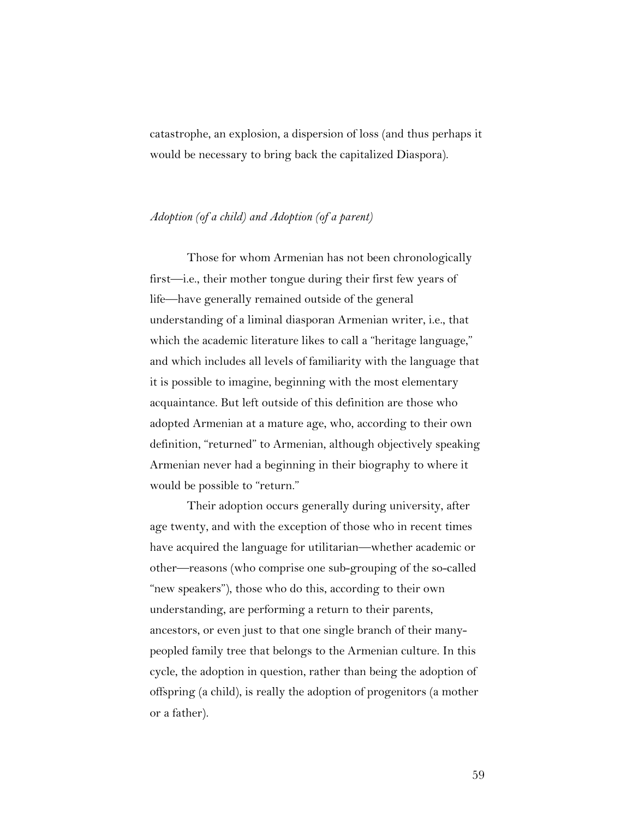catastrophe, an explosion, a dispersion of loss (and thus perhaps it would be necessary to bring back the capitalized Diaspora).

#### *Adoption (of a child) and Adoption (of a parent)*

Those for whom Armenian has not been chronologically first—i.e., their mother tongue during their first few years of life—have generally remained outside of the general understanding of a liminal diasporan Armenian writer, i.e., that which the academic literature likes to call a "heritage language," and which includes all levels of familiarity with the language that it is possible to imagine, beginning with the most elementary acquaintance. But left outside of this definition are those who adopted Armenian at a mature age, who, according to their own definition, "returned" to Armenian, although objectively speaking Armenian never had a beginning in their biography to where it would be possible to "return."

Their adoption occurs generally during university, after age twenty, and with the exception of those who in recent times have acquired the language for utilitarian—whether academic or other—reasons (who comprise one sub-grouping of the so-called "new speakers"), those who do this, according to their own understanding, are performing a return to their parents, ancestors, or even just to that one single branch of their manypeopled family tree that belongs to the Armenian culture. In this cycle, the adoption in question, rather than being the adoption of offspring (a child), is really the adoption of progenitors (a mother or a father).

59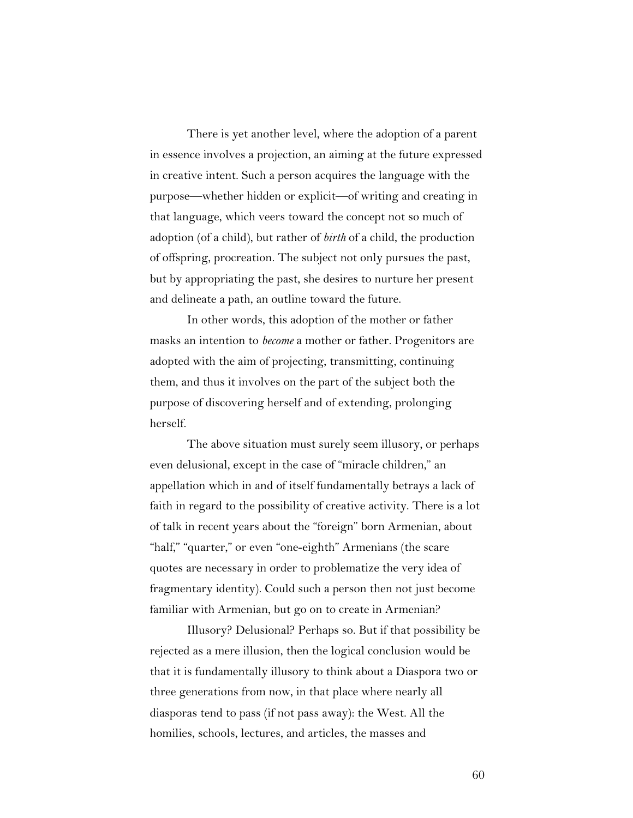There is yet another level, where the adoption of a parent in essence involves a projection, an aiming at the future expressed in creative intent. Such a person acquires the language with the purpose—whether hidden or explicit—of writing and creating in that language, which veers toward the concept not so much of adoption (of a child), but rather of *birth* of a child, the production of offspring, procreation. The subject not only pursues the past, but by appropriating the past, she desires to nurture her present and delineate a path, an outline toward the future.

In other words, this adoption of the mother or father masks an intention to *become* a mother or father. Progenitors are adopted with the aim of projecting, transmitting, continuing them, and thus it involves on the part of the subject both the purpose of discovering herself and of extending, prolonging herself.

The above situation must surely seem illusory, or perhaps even delusional, except in the case of "miracle children," an appellation which in and of itself fundamentally betrays a lack of faith in regard to the possibility of creative activity. There is a lot of talk in recent years about the "foreign" born Armenian, about "half," "quarter," or even "one-eighth" Armenians (the scare quotes are necessary in order to problematize the very idea of fragmentary identity). Could such a person then not just become familiar with Armenian, but go on to create in Armenian?

Illusory? Delusional? Perhaps so. But if that possibility be rejected as a mere illusion, then the logical conclusion would be that it is fundamentally illusory to think about a Diaspora two or three generations from now, in that place where nearly all diasporas tend to pass (if not pass away): the West. All the homilies, schools, lectures, and articles, the masses and